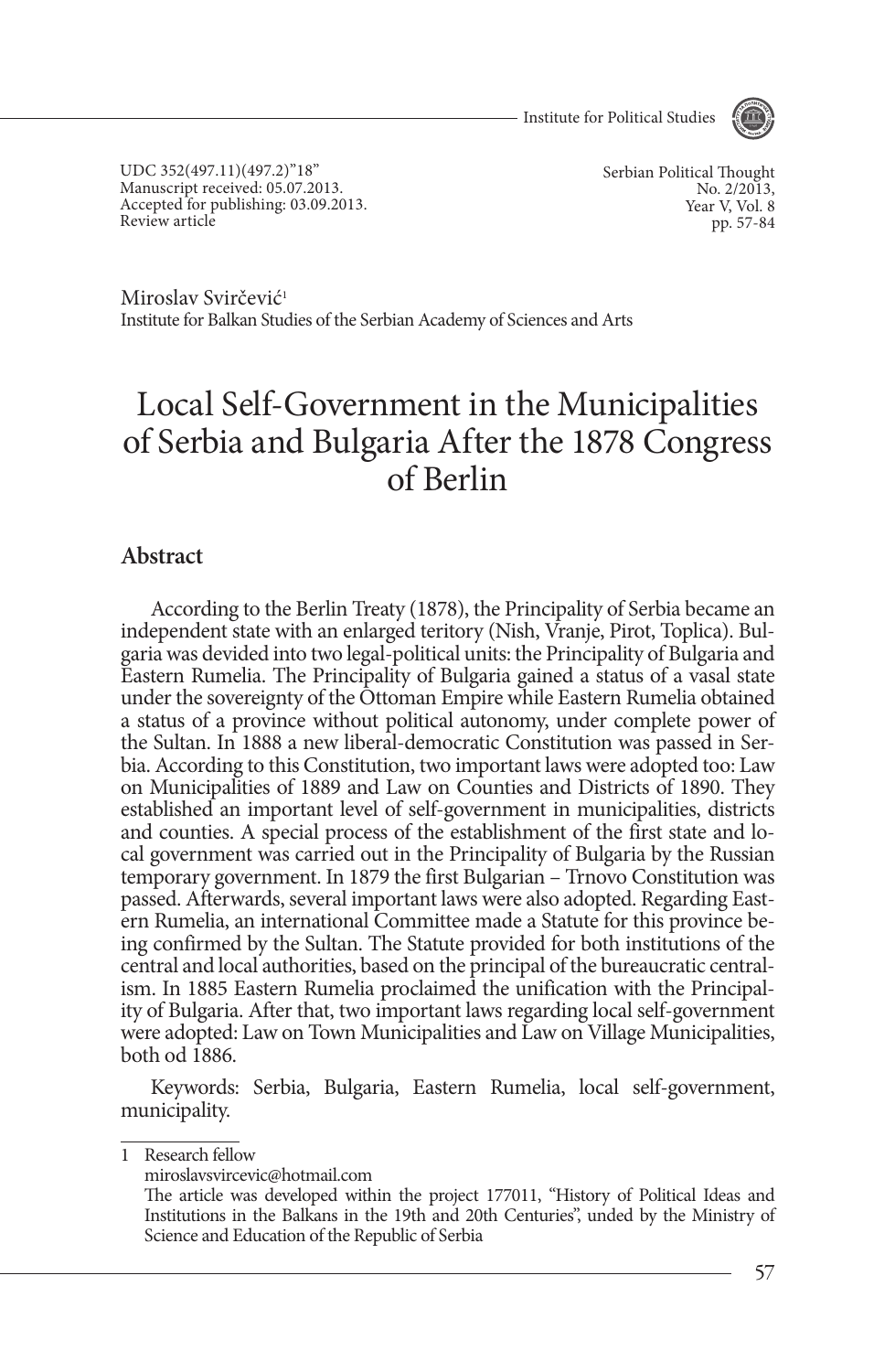- Institute for Political Studies



UDC 352(497.11)(497.2)"18" Manuscript received: 05.07.2013. Accepted for publishing: 03.09.2013. Review article

Serbian Political Thought No. 2/2013, Year V, Vol. 8 pp. 57-84

Miroslav Svirčević<sup>1</sup> Institute for Balkan Studies of the Serbian Academy of Sciences and Arts

# Local Self-Government in the Municipalities of Serbia and Bulgaria after the 1878 Congress of Berlin

#### **Abstract**

According to the Berlin Treaty (1878), the Principality of Serbia became an independent state with an enlarged teritory (Nish, Vranje, Pirot, Toplica). Bulgaria was devided into two legal-political units: the Principality of Bulgaria and Eastern Rumelia. The Principality of Bulgaria gained a status of a vasal state under the sovereignty of the Ottoman Empire while Eastern Rumelia obtained a status of a province without political autonomy, under complete power of the Sultan. In 1888 a new liberal-democratic Constitution was passed in Serbia. According to this Constitution, two important laws were adopted too: Law on Municipalities of 1889 and Law on Counties and Districts of 1890. They established an important level of self-government in municipalities, districts and counties. A special process of the establishment of the first state and local government was carried out in the Principality of Bulgaria by the Russian temporary government. In 1879 the first Bulgarian – Trnovo Constitution was passed. Afterwards, several important laws were also adopted. Regarding Eastern Rumelia, an international Committee made a Statute for this province being confirmed by the Sultan. The Statute provided for both institutions of the central and local authorities, based on the principal of the bureaucratic centralism. In 1885 Eastern Rumelia proclaimed the unification with the Principality of Bulgaria. After that, two important laws regarding local self-government were adopted: Law on Town Municipalities and Law on Village Municipalities, both od 1886.

Keywords: Serbia, Bulgaria, Eastern Rumelia, local self-government, municipality.

1 Research fellow

miroslavsvircevic@hotmail.com

The article was developed within the project 177011, "History of Political Ideas and Institutions in the Balkans in the 19th and 20th Centuries", unded by the Ministry of Science and Education of the Republic of Serbia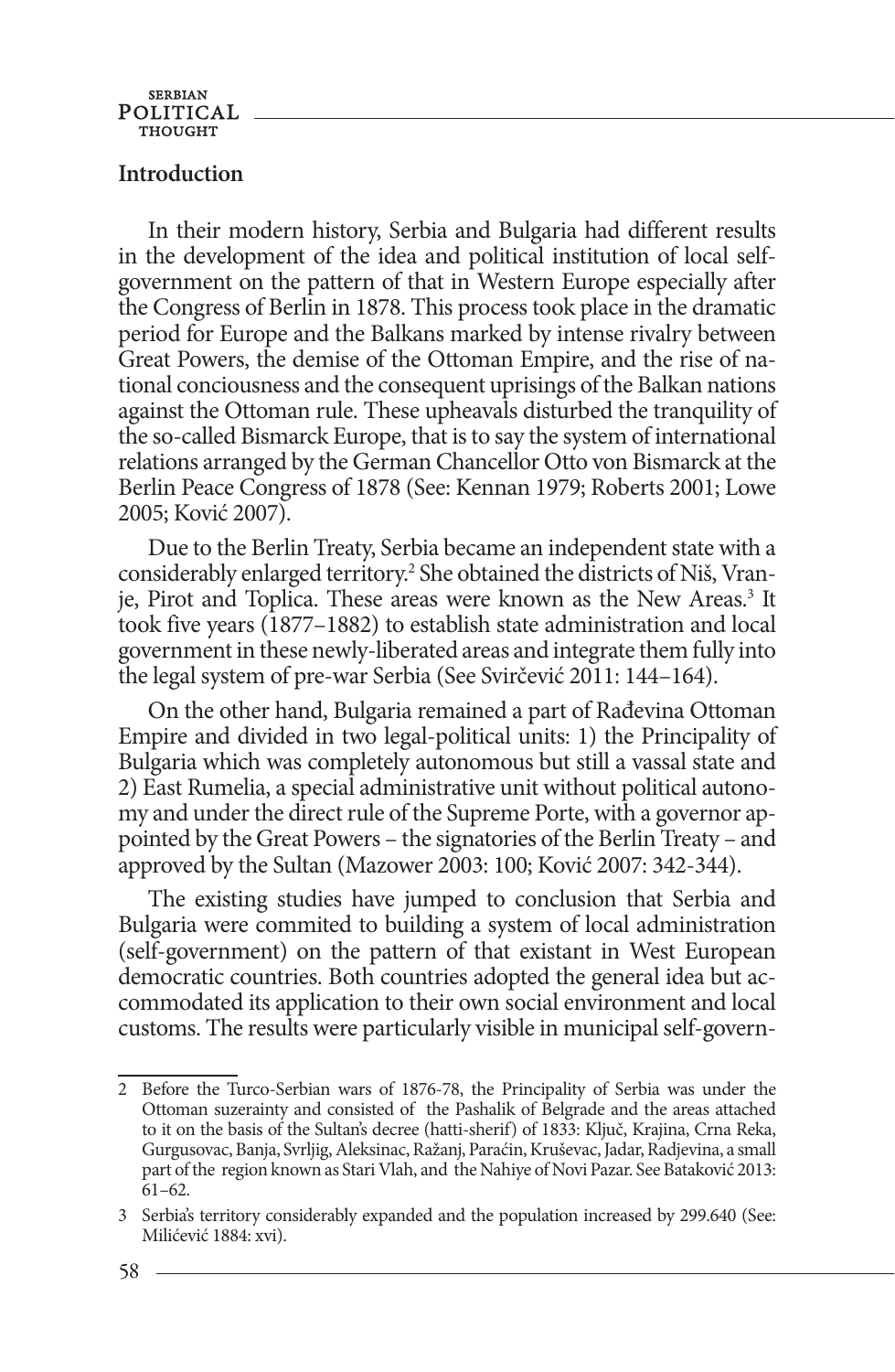#### **Introduction**

In their modern history, Serbia and Bulgaria had different results in the development of the idea and political institution of local selfgovernment on the pattern of that in Western Europe especially after the Congress of Berlin in 1878. This process took place in the dramatic period for Europe and the Balkans marked by intense rivalry between Great Powers, the demise of the Ottoman Empire, and the rise of national conciousness and the consequent uprisings of the Balkan nations against the Ottoman rule. These upheavals disturbed the tranquility of the so-called Bismarck Europe, that is to say the system of international relations arranged by the German Chancellor Otto von Bismarck at the Berlin Peace Congress of 1878 (See: Kennan 1979; Roberts 2001; Lowe 2005; Ković 2007).

Due to the Berlin Treaty, Serbia became an independent state with a considerably enlarged territory.<sup>2</sup> She obtained the districts of Niš, Vranje, Pirot and Toplica. These areas were known as the New Areas.<sup>3</sup> It took five years (1877–1882) to establish state administration and local government in these newly-liberated areas and integrate them fully into the legal system of pre-war Serbia (See Svirčević 2011: 144–164).

On the other hand, Bulgaria remained a part of Rađevina Ottoman Empire and divided in two legal-political units: 1) the Principality of Bulgaria which was completely autonomous but still a vassal state and 2) East Rumelia, a special administrative unit without political autonomy and under the direct rule of the Supreme Porte, with a governor appointed by the Great Powers – the signatories of the Berlin Treaty – and approved by the Sultan (Mazower 2003: 100; Ković 2007: 342-344).

The existing studies have jumped to conclusion that Serbia and Bulgaria were commited to building a system of local administration (self-government) on the pattern of that existant in West European democratic countries. Both countries adopted the general idea but accommodated its application to their own social environment and local customs. The results were particularly visible in municipal self-govern-

<sup>2</sup> Before the Turco-Serbian wars of 1876-78, the Principality of Serbia was under the Ottoman suzerainty and consisted of the Pashalik of Belgrade and the areas attached to it on the basis of the Sultan's decree (hatti-sherif) of 1833: Ključ, Krajina, Crna Reka, Gurgusovac, Banja, Svrljig, Aleksinac, Ražanj, Paraćin, Kruševac, Jadar, Radjevina, a small part of the region known as Stari Vlah, and the Nahiye of Novi Pazar. See Bataković 2013: 61–62.

<sup>3</sup> Serbia's territory considerably expanded and the population increased by 299.640 (See: Milićević 1884: xvi).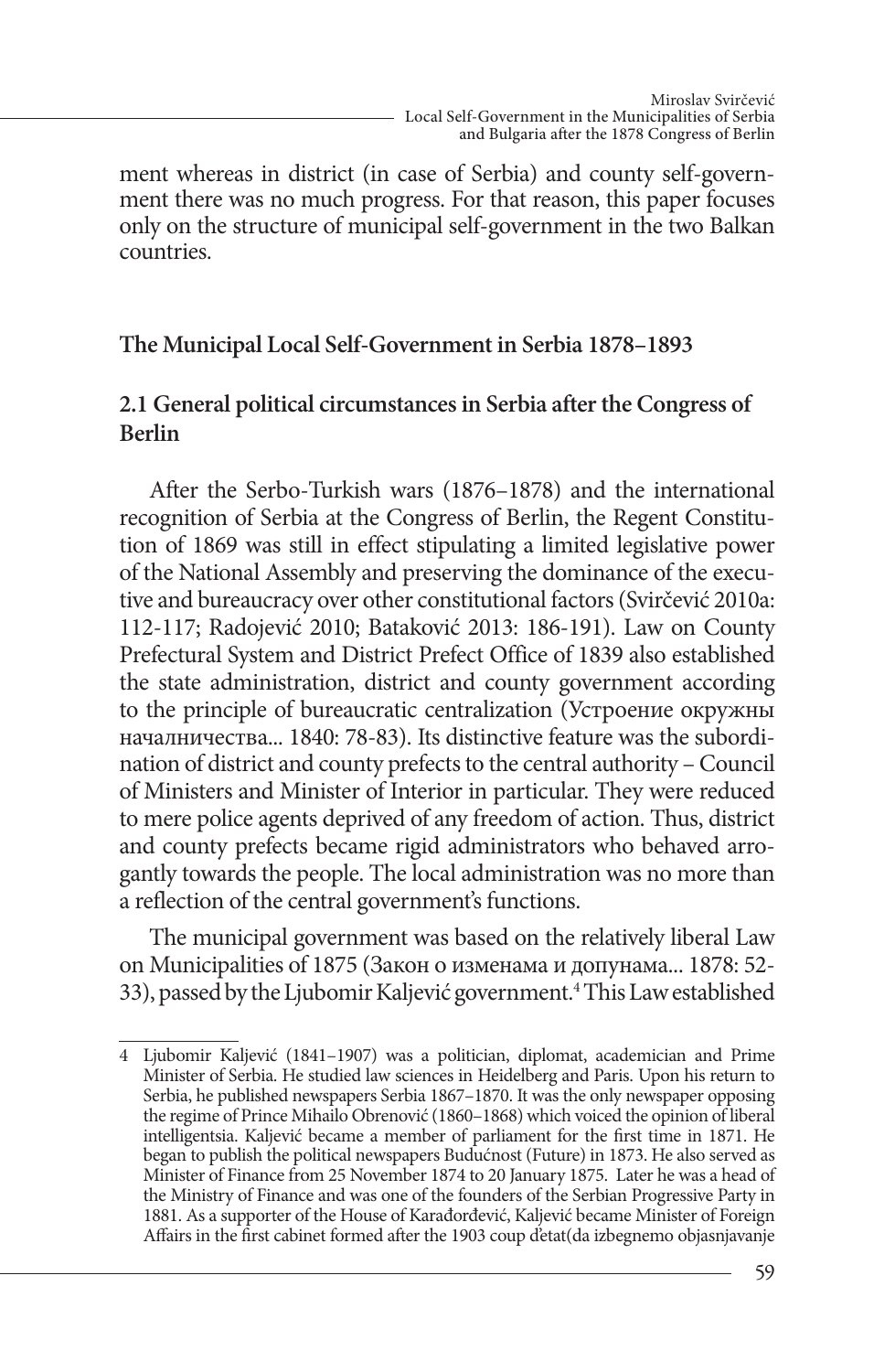ment whereas in district (in case of Serbia) and county self-government there was no much progress. For that reason, this paper focuses only on the structure of municipal self-government in the two Balkan countries.

### **The Municipal Local Self-Government in Serbia 1878–1893**

# **2.1 General political circumstances in Serbia after the Congress of Berlin**

After the Serbo-Turkish wars (1876–1878) and the international recognition of Serbia at the Congress of Berlin, the Regent Constitution of 1869 was still in effect stipulating a limited legislative power of the National Assembly and preserving the dominance of the executive and bureaucracy over other constitutional factors (Svirčević 2010a: 112-117; Radojević 2010; Bataković 2013: 186-191). Law on County Prefectural System and District Prefect Office of 1839 also established the state administration, district and county government according to the principle of bureaucratic centralization (Устроение окружны началничества... 1840: 78-83). Its distinctive feature was the subordination of district and county prefects to the central authority – Council of Ministers and Minister of Interior in particular. They were reduced to mere police agents deprived of any freedom of action. Thus, district and county prefects became rigid administrators who behaved arrogantly towards the people. The local administration was no more than a reflection of the central government's functions.

The municipal government was based on the relatively liberal Law on Municipalities of 1875 (Закон о изменама и допунама... 1878: 52- 33), passed by the Ljubomir Kaljević government.<sup>4</sup> This Law established

<sup>4</sup> Ljubomir Kaljević (1841–1907) was a politician, diplomat, academician and Prime Minister of Serbia. He studied law sciences in Heidelberg and Paris. Upon his return to Serbia, he published newspapers Serbia 1867–1870. It was the only newspaper opposing the regime of Prince Mihailo Obrenović (1860–1868) which voiced the opinion of liberal intelligentsia. Kaljević became a member of parliament for the first time in 1871. He began to publish the political newspapers Budućnost (Future) in 1873. He also served as Minister of Finance from 25 November 1874 to 20 January 1875. Later he was a head of the Ministry of Finance and was one of the founders of the Serbian Progressive Party in 1881. As a supporter of the House of Karađorđević, Kaljević became Minister of Foreign Affairs in the first cabinet formed after the 1903 coup d'etat(da izbegnemo objasnjavanje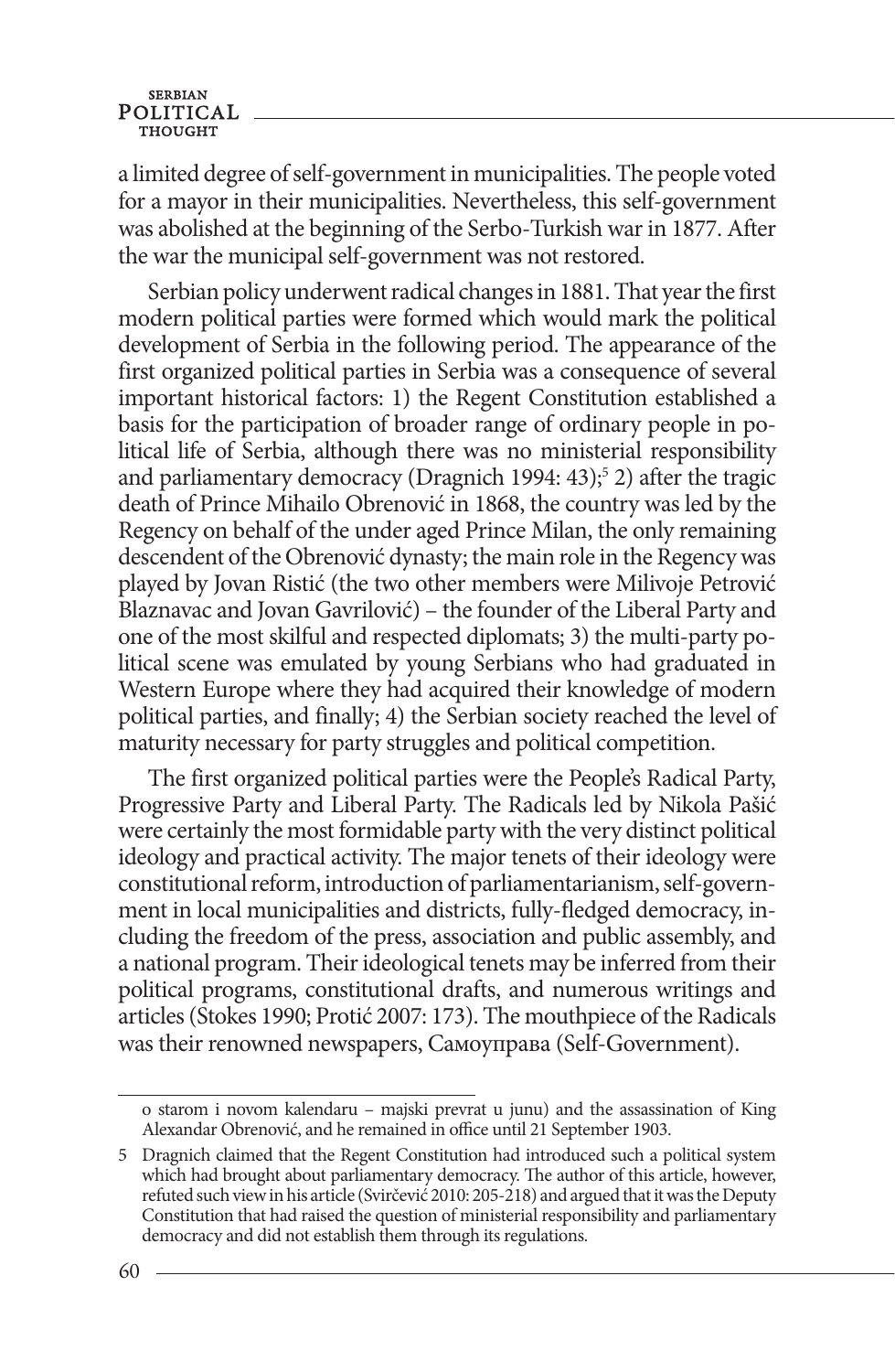a limited degree of self-government in municipalities. The people voted for a mayor in their municipalities. Nevertheless, this self-government was abolished at the beginning of the Serbo-Turkish war in 1877. After the war the municipal self-government was not restored.

Serbian policy underwent radical changes in 1881. That year the first modern political parties were formed which would mark the political development of Serbia in the following period. The appearance of the first organized political parties in Serbia was a consequence of several important historical factors: 1) the Regent Constitution established a basis for the participation of broader range of ordinary people in political life of Serbia, although there was no ministerial responsibility and parliamentary democracy (Dragnich 1994: 43);<sup>5</sup> 2) after the tragic death of Prince Mihailo Obrenović in 1868, the country was led by the Regency on behalf of the under aged Prince Milan, the only remaining descendent of the Obrenović dynasty; the main role in the Regency was played by Jovan Ristić (the two other members were Milivoje Petrović Blaznavac and Jovan Gavrilović) – the founder of the Liberal Party and one of the most skilful and respected diplomats; 3) the multi-party political scene was emulated by young Serbians who had graduated in Western Europe where they had acquired their knowledge of modern political parties, and finally; 4) the Serbian society reached the level of maturity necessary for party struggles and political competition.

The first organized political parties were the People's Radical Party, Progressive Party and Liberal Party. The Radicals led by Nikola Pašić were certainly the most formidable party with the very distinct political ideology and practical activity. The major tenets of their ideology were constitutional reform, introduction of parliamentarianism, self-government in local municipalities and districts, fully-fledged democracy, including the freedom of the press, association and public assembly, and a national program. Their ideological tenets may be inferred from their political programs, constitutional drafts, and numerous writings and articles (Stokes 1990; Protić 2007: 173). The mouthpiece of the Radicals was their renowned newspapers, Самоуправа (Self-Government).

o starom i novom kalendaru – majski prevrat u junu) and the assassination of King Alexandar Obrenović, and he remained in office until 21 September 1903.

<sup>5</sup> Dragnich claimed that the Regent Constitution had introduced such a political system which had brought about parliamentary democracy. The author of this article, however, refuted such view in his article (Svirčević 2010: 205-218) and argued that it was the Deputy Constitution that had raised the question of ministerial responsibility and parliamentary democracy and did not establish them through its regulations.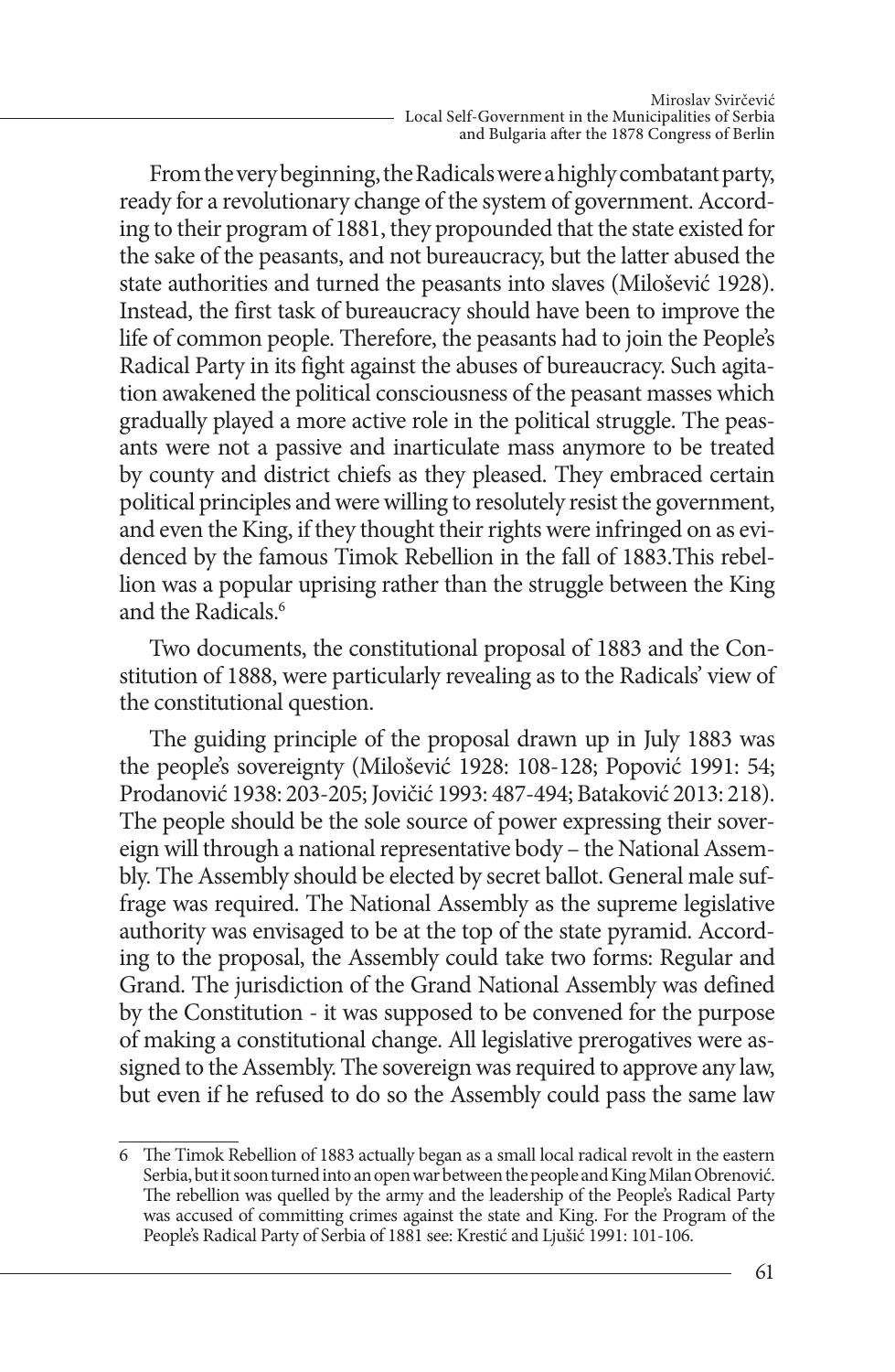From the very beginning, the Radicals were a highly combatant party, ready for a revolutionary change of the system of government. According to their program of 1881, they propounded that the state existed for the sake of the peasants, and not bureaucracy, but the latter abused the state authorities and turned the peasants into slaves (Milošević 1928). Instead, the first task of bureaucracy should have been to improve the life of common people. Therefore, the peasants had to join the People's Radical Party in its fight against the abuses of bureaucracy. Such agitation awakened the political consciousness of the peasant masses which gradually played a more active role in the political struggle. The peasants were not a passive and inarticulate mass anymore to be treated by county and district chiefs as they pleased. They embraced certain political principles and were willing to resolutely resist the government, and even the King, if they thought their rights were infringed on as evidenced by the famous Timok Rebellion in the fall of 1883.This rebellion was a popular uprising rather than the struggle between the King and the Radicals.<sup>6</sup>

Two documents, the constitutional proposal of 1883 and the Constitution of 1888, were particularly revealing as to the Radicals' view of the constitutional question.

The guiding principle of the proposal drawn up in July 1883 was the people's sovereignty (Milošević 1928: 108-128; Popović 1991: 54; Prodanović 1938: 203-205; Jovičić 1993: 487-494; Bataković 2013: 218). The people should be the sole source of power expressing their sovereign will through a national representative body – the National Assembly. The Assembly should be elected by secret ballot. General male suffrage was required. The National Assembly as the supreme legislative authority was envisaged to be at the top of the state pyramid. According to the proposal, the Assembly could take two forms: Regular and Grand. The jurisdiction of the Grand National Assembly was defined by the Constitution - it was supposed to be convened for the purpose of making a constitutional change. All legislative prerogatives were assigned to the Assembly. The sovereign was required to approve any law, but even if he refused to do so the Assembly could pass the same law

<sup>6</sup> The Timok Rebellion of 1883 actually began as a small local radical revolt in the eastern Serbia, but it soon turned into an open war between the people and King Milan Obrenović. The rebellion was quelled by the army and the leadership of the People's Radical Party was accused of committing crimes against the state and King. For the Program of the People's Radical Party of Serbia of 1881 see: Krestić and Ljušić 1991: 101-106.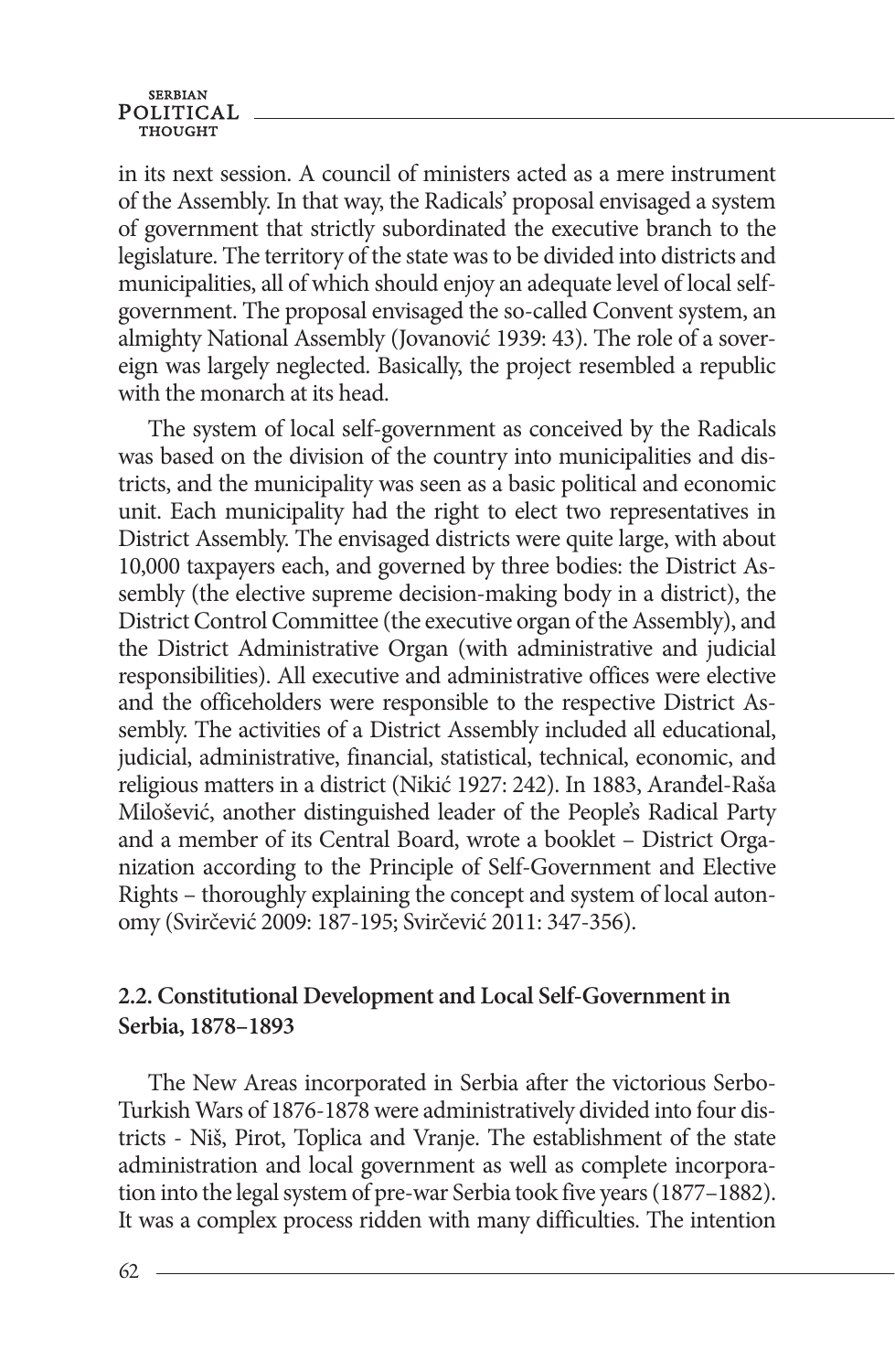#### **SERBIAN** POLITICAL

in its next session. A council of ministers acted as a mere instrument of the Assembly. In that way, the Radicals' proposal envisaged a system of government that strictly subordinated the executive branch to the legislature. The territory of the state was to be divided into districts and municipalities, all of which should enjoy an adequate level of local selfgovernment. The proposal envisaged the so-called Convent system, an almighty National Assembly (Jovanović 1939: 43). The role of a sovereign was largely neglected. Basically, the project resembled a republic with the monarch at its head.

The system of local self-government as conceived by the Radicals was based on the division of the country into municipalities and districts, and the municipality was seen as a basic political and economic unit. Each municipality had the right to elect two representatives in District Assembly. The envisaged districts were quite large, with about 10,000 taxpayers each, and governed by three bodies: the District Assembly (the elective supreme decision-making body in a district), the District Control Committee (the executive organ of the Assembly), and the District Administrative Organ (with administrative and judicial responsibilities). All executive and administrative offices were elective and the officeholders were responsible to the respective District Assembly. The activities of a District Assembly included all educational, judicial, administrative, financial, statistical, technical, economic, and religious matters in a district (Nikić 1927: 242). In 1883, Aranđel-Raša Milošević, another distinguished leader of the People's Radical Party and a member of its Central Board, wrote a booklet – District Organization according to the Principle of Self-Government and Elective Rights – thoroughly explaining the concept and system of local autonomy (Svirčević 2009: 187-195; Svirčević 2011: 347-356).

#### **2.2. Constitutional Development and Local Self-Government in Serbia, 1878–1893**

The New Areas incorporated in Serbia after the victorious Serbo-Turkish Wars of 1876-1878 were administratively divided into four districts - Niš, Pirot, Toplica and Vranje. The establishment of the state administration and local government as well as complete incorporation into the legal system of pre-war Serbia took five years (1877–1882). It was a complex process ridden with many difficulties. The intention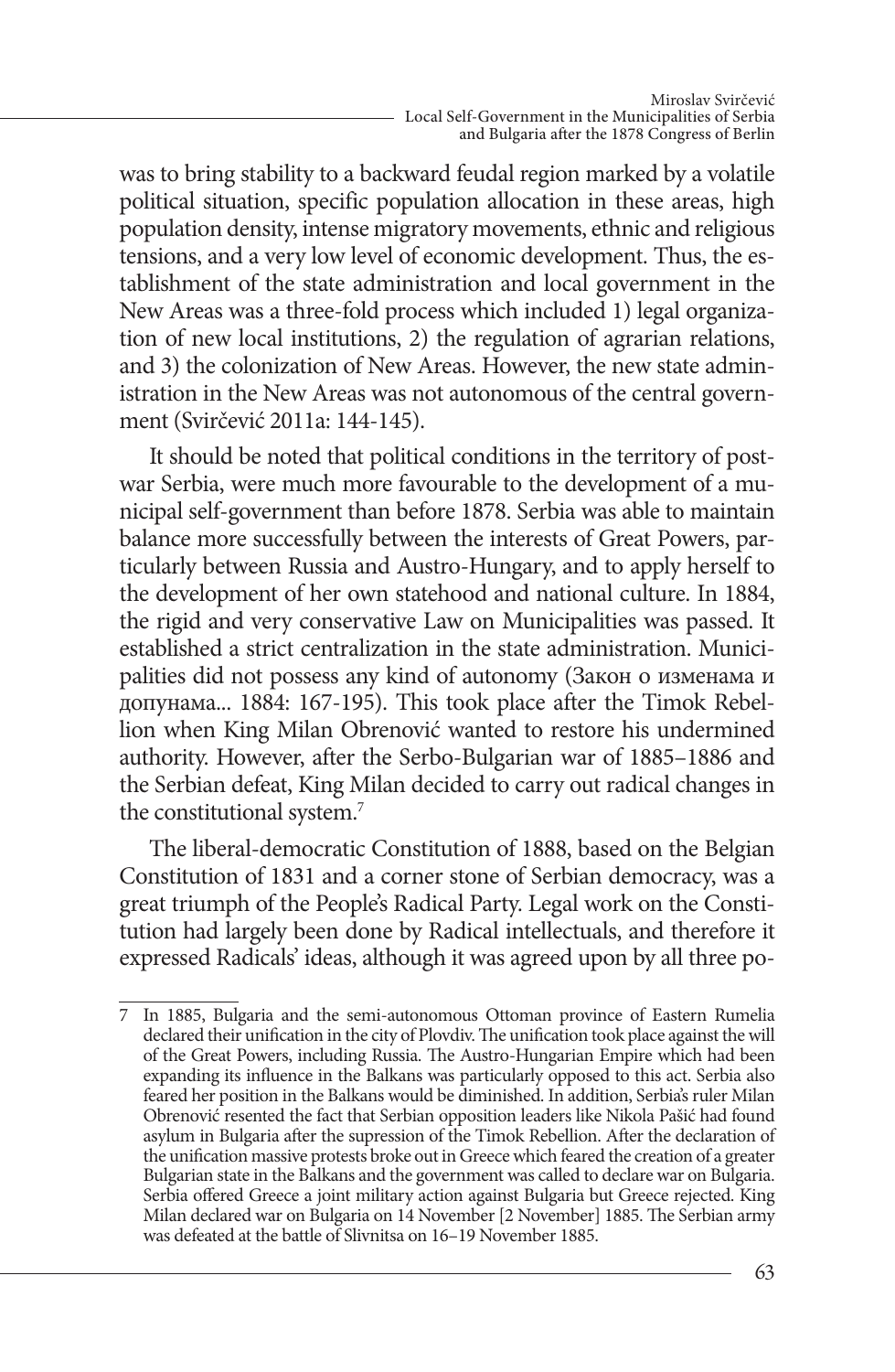was to bring stability to a backward feudal region marked by a volatile political situation, specific population allocation in these areas, high population density, intense migratory movements, ethnic and religious tensions, and a very low level of economic development. Thus, the establishment of the state administration and local government in the New Areas was a three-fold process which included 1) legal organization of new local institutions, 2) the regulation of agrarian relations, and 3) the colonization of New Areas. However, the new state administration in the New Areas was not autonomous of the central government (Svirčević 2011a: 144-145).

It should be noted that political conditions in the territory of postwar Serbia, were much more favourable to the development of a municipal self-government than before 1878. Serbia was able to maintain balance more successfully between the interests of Great Powers, particularly between Russia and Austro-Hungary, and to apply herself to the development of her own statehood and national culture. In 1884, the rigid and very conservative Law on Municipalities was passed. It established a strict centralization in the state administration. Municipalities did not possess any kind of autonomy (Закон о изменама и допунама... 1884: 167-195). This took place after the Timok Rebellion when King Milan Obrenović wanted to restore his undermined authority. However, after the Serbo-Bulgarian war of 1885–1886 and the Serbian defeat, King Milan decided to carry out radical changes in the constitutional system.<sup>7</sup>

The liberal-democratic Constitution of 1888, based on the Belgian Constitution of 1831 and a corner stone of Serbian democracy, was a great triumph of the People's Radical Party. Legal work on the Constitution had largely been done by Radical intellectuals, and therefore it expressed Radicals' ideas, although it was agreed upon by all three po-

<sup>7</sup> In 1885, Bulgaria and the semi-autonomous Ottoman province of Eastern Rumelia declared their unification in the city of Plovdiv. The unification took place against the will of the Great Powers, including Russia. The Austro-Hungarian Empire which had been expanding its influence in the Balkans was particularly opposed to this act. Serbia also feared her position in the Balkans would be diminished. In addition, Serbia's ruler Milan Obrenović resented the fact that Serbian opposition leaders like Nikola Pašić had found asylum in Bulgaria after the supression of the Timok Rebellion. After the declaration of the unification massive protests broke out in Greece which feared the creation of a greater Bulgarian state in the Balkans and the government was called to declare war on Bulgaria. Serbia offered Greece a joint military action against Bulgaria but Greece rejected. King Milan declared war on Bulgaria on 14 November [2 November] 1885. The Serbian army was defeated at the battle of Slivnitsa on 16–19 November 1885.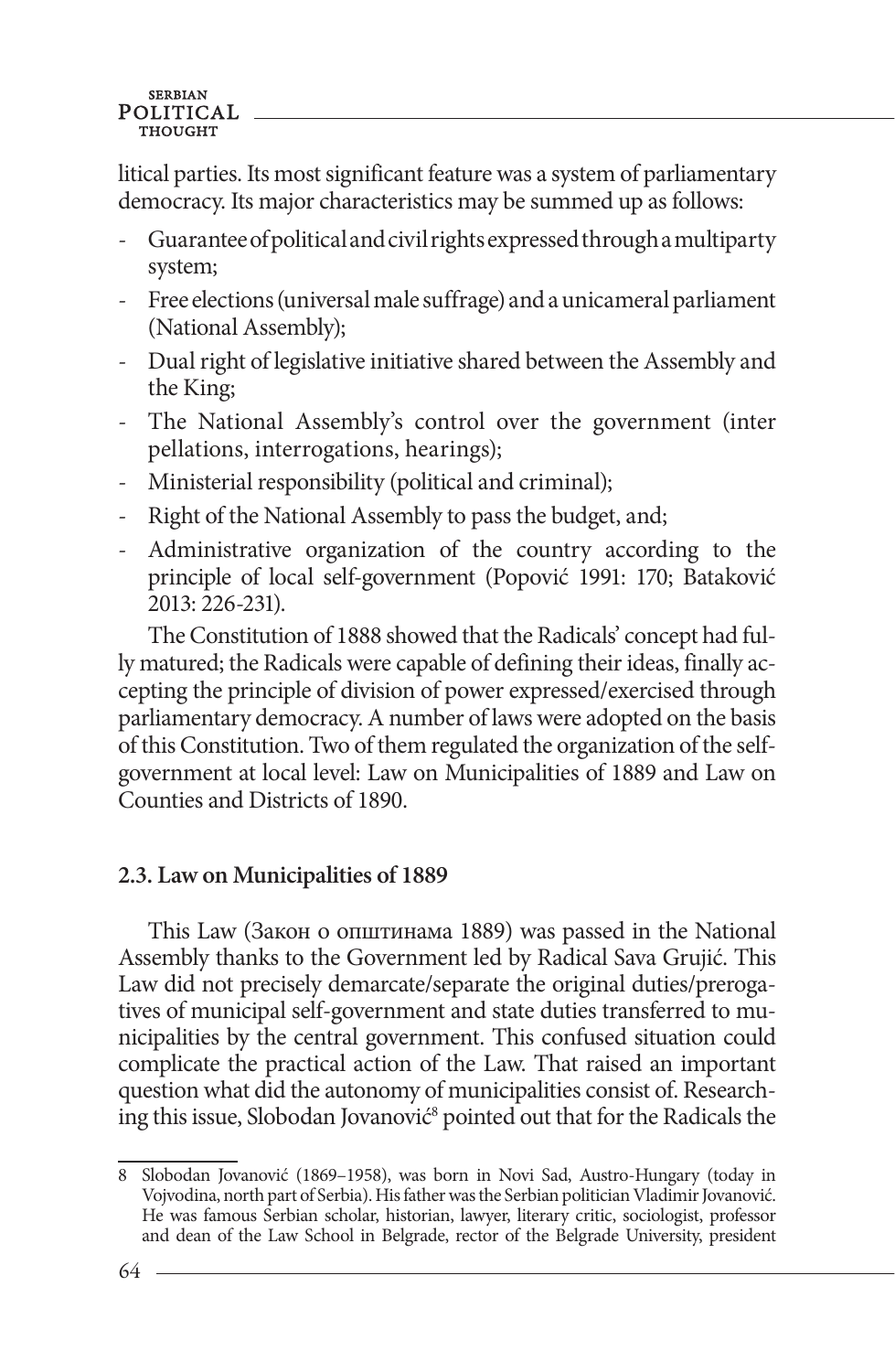litical parties. Its most significant feature was a system of parliamentary democracy. Its major characteristics may be summed up as follows:

- Guarantee of political and civil rights expressed through a multiparty system;
- Free elections (universal male suffrage) and a unicameral parliament (National Assembly);
- Dual right of legislative initiative shared between the Assembly and the King;
- The National Assembly's control over the government (inter pellations, interrogations, hearings);
- Ministerial responsibility (political and criminal);
- Right of the National Assembly to pass the budget, and;
- Administrative organization of the country according to the principle of local self-government (Popović 1991: 170; Bataković 2013: 226-231).

The Constitution of 1888 showed that the Radicals' concept had fully matured; the Radicals were capable of defining their ideas, finally accepting the principle of division of power expressed/exercised through parliamentary democracy. A number of laws were adopted on the basis of this Constitution. Two of them regulated the organization of the selfgovernment at local level: Law on Municipalities of 1889 and Law on Counties and Districts of 1890.

# **2.3. Law on Municipalities of 1889**

This Law (Закон о општинама 1889) was passed in the National Assembly thanks to the Government led by Radical Sava Grujić. This Law did not precisely demarcate/separate the original duties/prerogatives of municipal self-government and state duties transferred to municipalities by the central government. This confused situation could complicate the practical action of the Law. That raised an important question what did the autonomy of municipalities consist of. Researching this issue, Slobodan Jovanović<sup>8</sup> pointed out that for the Radicals the

<sup>8</sup> Slobodan Jovanović (1869–1958), was born in Novi Sad, Austro-Hungary (today in Vojvodina, north part of Serbia). His father was the Serbian politician Vladimir Jovanović. He was famous Serbian scholar, historian, lawyer, literary critic, sociologist, professor and dean of the Law School in Belgrade, rector of the Belgrade University, president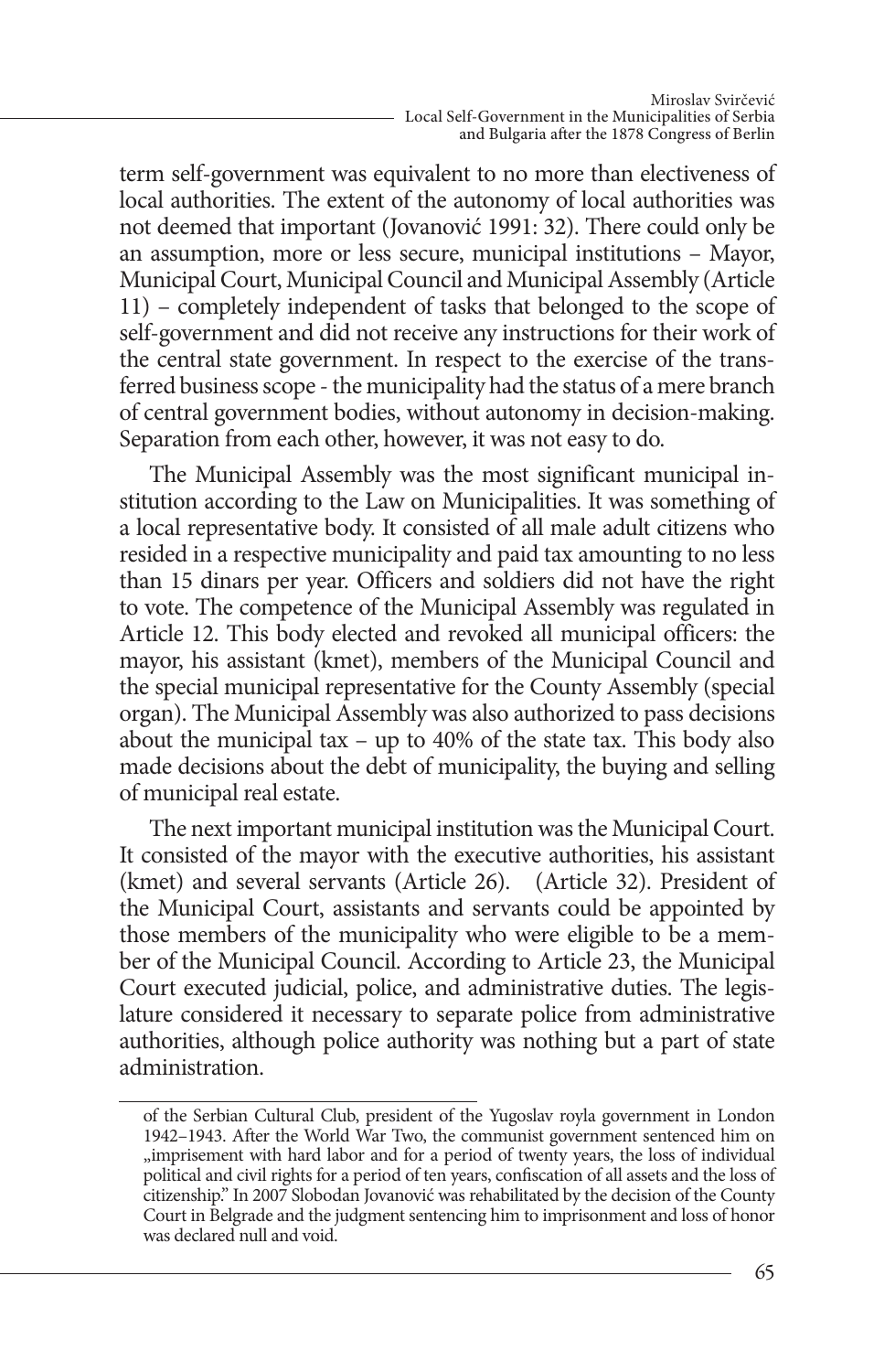term self-government was equivalent to no more than electiveness of local authorities. The extent of the autonomy of local authorities was not deemed that important (Jovanović 1991: 32). There could only be an assumption, more or less secure, municipal institutions – Mayor, Municipal Court, Municipal Council and Municipal Assembly (Article 11) – completely independent of tasks that belonged to the scope of self-government and did not receive any instructions for their work of the central state government. In respect to the exercise of the transferred business scope - the municipality had the status of a mere branch of central government bodies, without autonomy in decision-making. Separation from each other, however, it was not easy to do.

The Municipal Assembly was the most significant municipal institution according to the Law on Municipalities. It was something of a local representative body. It consisted of all male adult citizens who resided in a respective municipality and paid tax amounting to no less than 15 dinars per year. Officers and soldiers did not have the right to vote. The competence of the Municipal Assembly was regulated in Article 12. This body elected and revoked all municipal officers: the mayor, his assistant (kmet), members of the Municipal Council and the special municipal representative for the County Assembly (special organ). The Municipal Assembly was also authorized to pass decisions about the municipal tax – up to 40% of the state tax. This body also made decisions about the debt of municipality, the buying and selling of municipal real estate.

The next important municipal institution was the Municipal Court. It consisted of the mayor with the executive authorities, his assistant (kmet) and several servants (Article 26). (Article 32). President of the Municipal Court, assistants and servants could be appointed by those members of the municipality who were eligible to be a member of the Municipal Council. According to Article 23, the Municipal Court executed judicial, police, and administrative duties. The legislature considered it necessary to separate police from administrative authorities, although police authority was nothing but a part of state administration.

of the Serbian Cultural Club, president of the Yugoslav royla government in London 1942–1943. After the World War Two, the communist government sentenced him on "imprisement with hard labor and for a period of twenty years, the loss of individual political and civil rights for a period of ten years, confiscation of all assets and the loss of citizenship." In 2007 Slobodan Jovanović was rehabilitated by the decision of the County Court in Belgrade and the judgment sentencing him to imprisonment and loss of honor was declared null and void.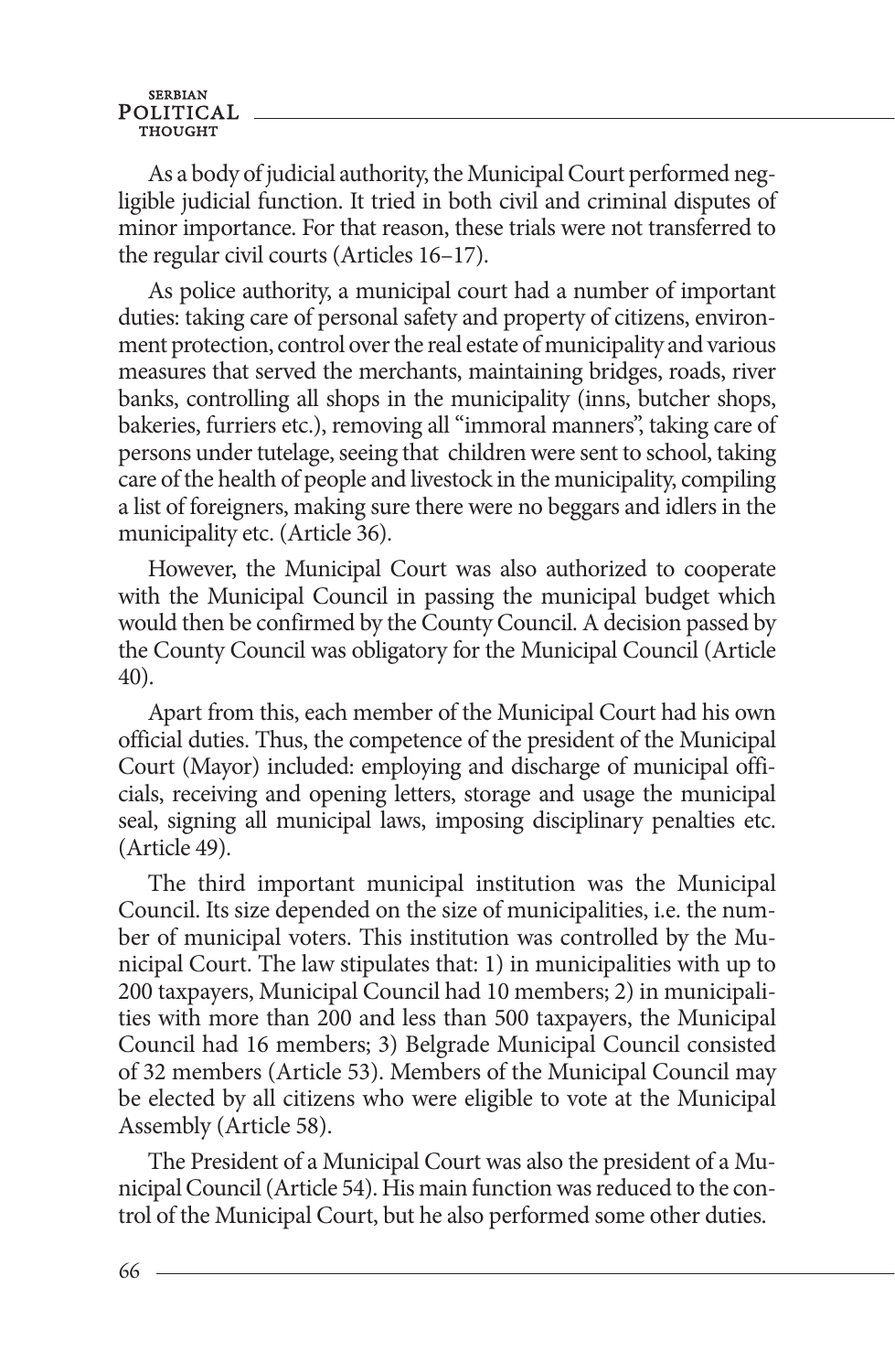**SERBIAN** POLITICAL

As a body of judicial authority, the Municipal Court performed negligible judicial function. It tried in both civil and criminal disputes of minor importance. For that reason, these trials were not transferred to the regular civil courts (Articles 16–17).

As police authority, a municipal court had a number of important duties: taking care of personal safety and property of citizens, environment protection, control over the real estate of municipality and various measures that served the merchants, maintaining bridges, roads, river banks, controlling all shops in the municipality (inns, butcher shops, bakeries, furriers etc.), removing all "immoral manners", taking care of persons under tutelage, seeing that children were sent to school, taking care of the health of people and livestock in the municipality, compiling a list of foreigners, making sure there were no beggars and idlers in the municipality etc. (Article 36).

However, the Municipal Court was also authorized to cooperate with the Municipal Council in passing the municipal budget which would then be confirmed by the County Council. A decision passed by the County Council was obligatory for the Municipal Council (Article 40).

Apart from this, each member of the Municipal Court had his own official duties. Thus, the competence of the president of the Municipal Court (Mayor) included: employing and discharge of municipal officials, receiving and opening letters, storage and usage the municipal seal, signing all municipal laws, imposing disciplinary penalties etc. (Article 49).

The third important municipal institution was the Municipal Council. Its size depended on the size of municipalities, i.e. the number of municipal voters. This institution was controlled by the Municipal Court. The law stipulates that: 1) in municipalities with up to 200 taxpayers, Municipal Council had 10 members; 2) in municipalities with more than 200 and less than 500 taxpayers, the Municipal Council had 16 members; 3) Belgrade Municipal Council consisted of 32 members (Article 53). Members of the Municipal Council may be elected by all citizens who were eligible to vote at the Municipal Assembly (Article 58).

The President of a Municipal Court was also the president of a Municipal Council (Article 54). His main function was reduced to the control of the Municipal Court, but he also performed some other duties.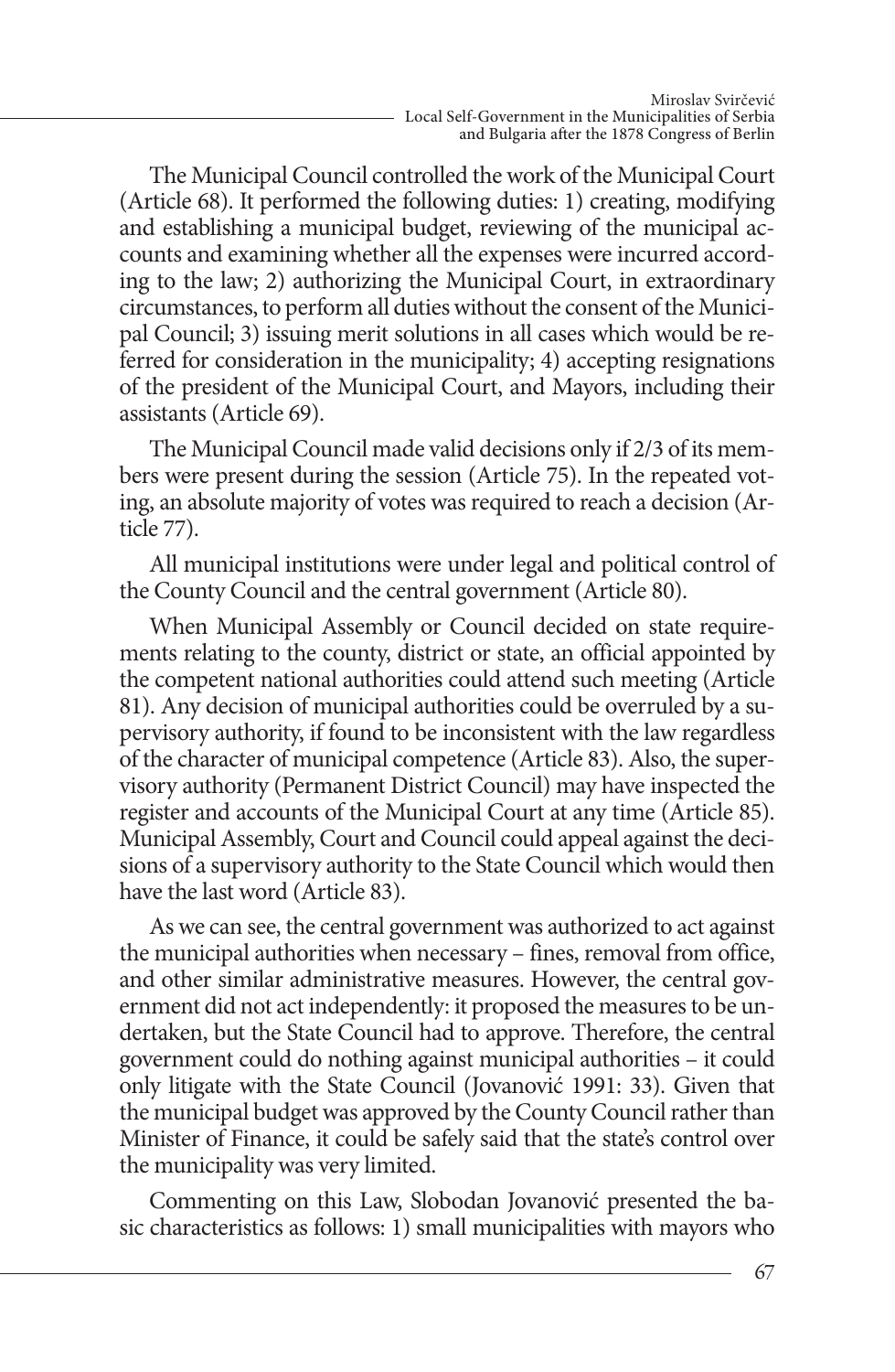The Municipal Council controlled the work of the Municipal Court (Article 68). It performed the following duties: 1) creating, modifying and establishing a municipal budget, reviewing of the municipal accounts and examining whether all the expenses were incurred according to the law; 2) authorizing the Municipal Court, in extraordinary circumstances, to perform all duties without the consent of the Municipal Council; 3) issuing merit solutions in all cases which would be referred for consideration in the municipality; 4) accepting resignations of the president of the Municipal Court, and Mayors, including their assistants (Article 69).

The Municipal Council made valid decisions only if 2/3 of its members were present during the session (Article 75). In the repeated voting, an absolute majority of votes was required to reach a decision (Article 77).

All municipal institutions were under legal and political control of the County Council and the central government (Article 80).

When Municipal Assembly or Council decided on state requirements relating to the county, district or state, an official appointed by the competent national authorities could attend such meeting (Article 81). Any decision of municipal authorities could be overruled by a supervisory authority, if found to be inconsistent with the law regardless of the character of municipal competence (Article 83). Also, the supervisory authority (Permanent District Council) may have inspected the register and accounts of the Municipal Court at any time (Article 85). Municipal Assembly, Court and Council could appeal against the decisions of a supervisory authority to the State Council which would then have the last word (Article 83).

As we can see, the central government was authorized to act against the municipal authorities when necessary – fines, removal from office, and other similar administrative measures. However, the central government did not act independently: it proposed the measures to be undertaken, but the State Council had to approve. Therefore, the central government could do nothing against municipal authorities – it could only litigate with the State Council (Jovanović 1991: 33). Given that the municipal budget was approved by the County Council rather than Minister of Finance, it could be safely said that the state's control over the municipality was very limited.

Commenting on this Law, Slobodan Jovanović presented the basic characteristics as follows: 1) small municipalities with mayors who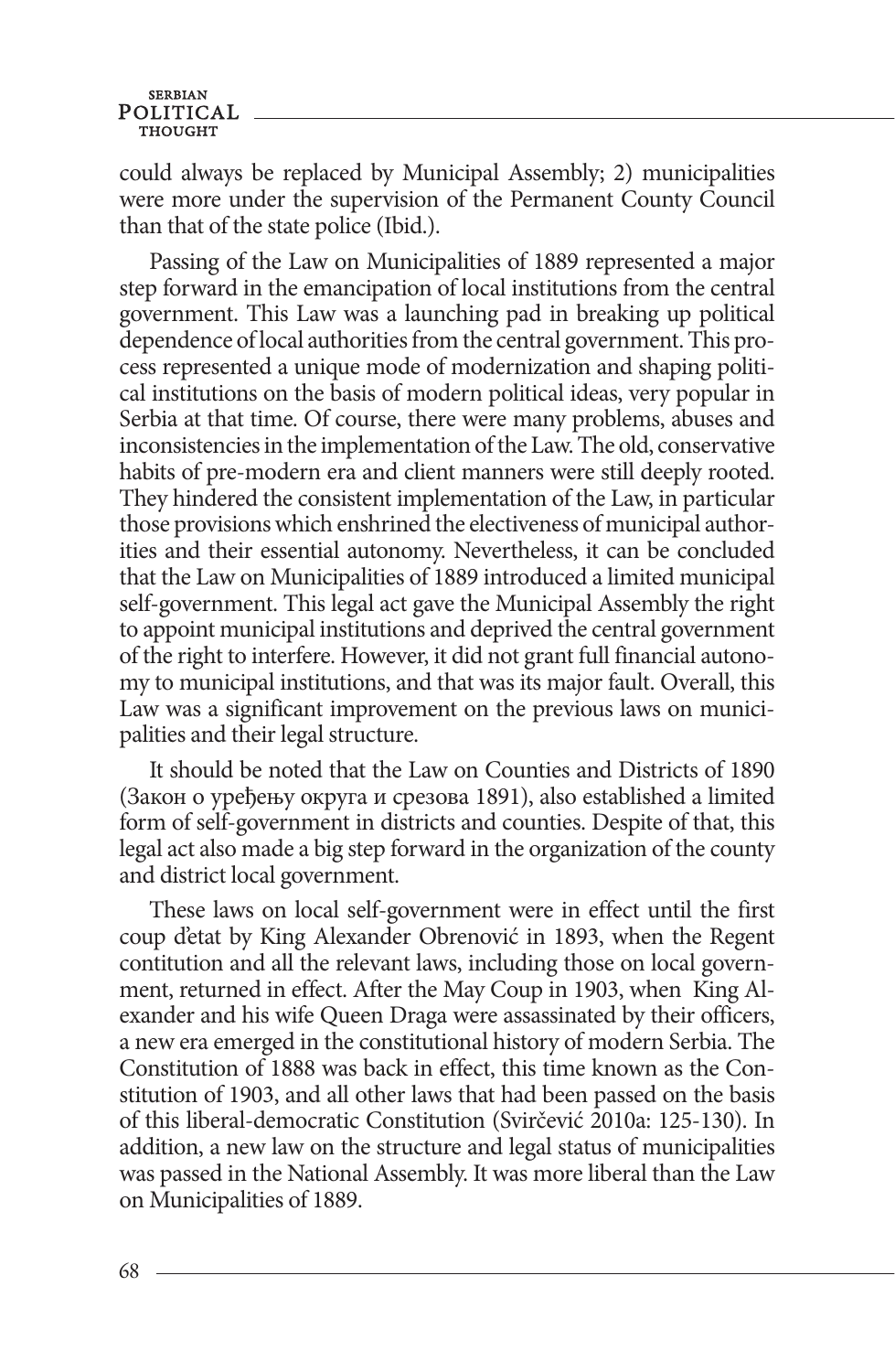could always be replaced by Municipal Assembly; 2) municipalities were more under the supervision of the Permanent County Council than that of the state police (Ibid.).

Passing of the Law on Municipalities of 1889 represented a major step forward in the emancipation of local institutions from the central government. This Law was a launching pad in breaking up political dependence of local authorities from the central government. This process represented a unique mode of modernization and shaping political institutions on the basis of modern political ideas, very popular in Serbia at that time. Of course, there were many problems, abuses and inconsistencies in the implementation of the Law. The old, conservative habits of pre-modern era and client manners were still deeply rooted. They hindered the consistent implementation of the Law, in particular those provisions which enshrined the electiveness of municipal authorities and their essential autonomy. Nevertheless, it can be concluded that the Law on Municipalities of 1889 introduced a limited municipal self-government. This legal act gave the Municipal Assembly the right to appoint municipal institutions and deprived the central government of the right to interfere. However, it did not grant full financial autonomy to municipal institutions, and that was its major fault. Overall, this Law was a significant improvement on the previous laws on municipalities and their legal structure.

It should be noted that the Law on Counties and Districts of 1890 (Закон о уређењу округа и срезова 1891), also established a limited form of self-government in districts and counties. Despite of that, this legal act also made a big step forward in the organization of the county and district local government.

These laws on local self-government were in effect until the first coup d'etat by King Alexander Obrenović in 1893, when the Regent contitution and all the relevant laws, including those on local government, returned in effect. After the May Coup in 1903, when King Alexander and his wife Queen Draga were assassinated by their officers, a new era emerged in the constitutional history of modern Serbia. The Constitution of 1888 was back in effect, this time known as the Constitution of 1903, and all other laws that had been passed on the basis of this liberal-democratic Constitution (Svirčević 2010a: 125-130). In addition, a new law on the structure and legal status of municipalities was passed in the National Assembly. It was more liberal than the Law on Municipalities of 1889.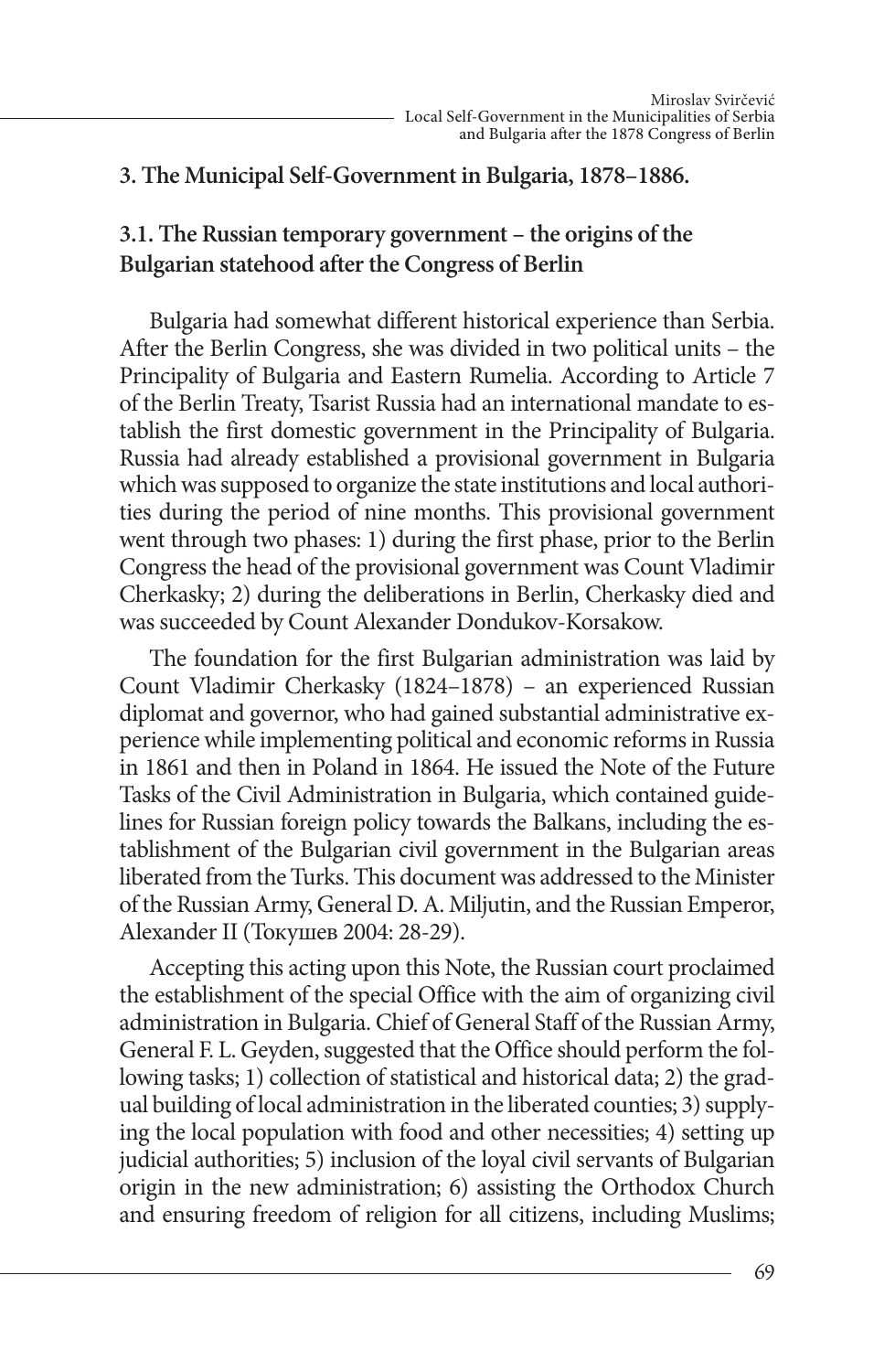#### **3. The Municipal Self-Government in Bulgaria, 1878–1886.**

### **3.1. The Russian temporary government – the origins of the Bulgarian statehood after the Congress of Berlin**

Bulgaria had somewhat different historical experience than Serbia. After the Berlin Congress, she was divided in two political units – the Principality of Bulgaria and Eastern Rumelia. According to Article 7 of the Berlin Treaty, Tsarist Russia had an international mandate to establish the first domestic government in the Principality of Bulgaria. Russia had already established a provisional government in Bulgaria which was supposed to organize the state institutions and local authorities during the period of nine months. This provisional government went through two phases: 1) during the first phase, prior to the Berlin Congress the head of the provisional government was Count Vladimir Cherkasky; 2) during the deliberations in Berlin, Cherkasky died and was succeeded by Count Alexander Dondukov-Korsakow.

The foundation for the first Bulgarian administration was laid by Count Vladimir Cherkasky (1824–1878) – an experienced Russian diplomat and governor, who had gained substantial administrative experience while implementing political and economic reforms in Russia in 1861 and then in Poland in 1864. He issued the Note of the Future Tasks of the Civil Administration in Bulgaria, which contained guidelines for Russian foreign policy towards the Balkans, including the establishment of the Bulgarian civil government in the Bulgarian areas liberated from the Turks. This document was addressed to the Minister of the Russian Army, General D. A. Miljutin, and the Russian Emperor, Alexander II (Токушев 2004: 28-29).

Accepting this acting upon this Note, the Russian court proclaimed the establishment of the special Office with the aim of organizing civil administration in Bulgaria. Chief of General Staff of the Russian Army, General F. L. Geyden, suggested that the Office should perform the following tasks; 1) collection of statistical and historical data; 2) the gradual building of local administration in the liberated counties; 3) supplying the local population with food and other necessities; 4) setting up judicial authorities; 5) inclusion of the loyal civil servants of Bulgarian origin in the new administration; 6) assisting the Orthodox Church and ensuring freedom of religion for all citizens, including Muslims;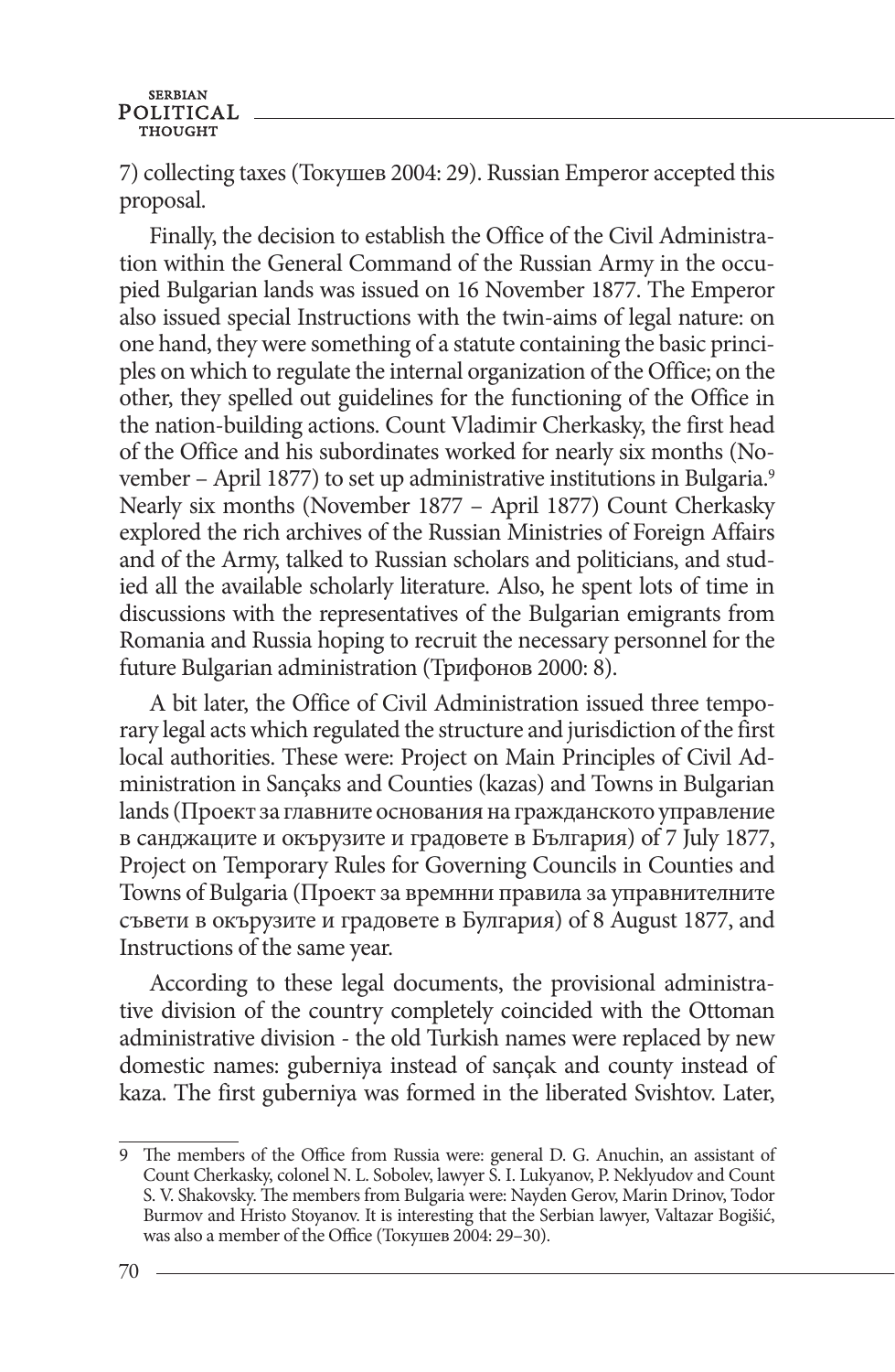7) collecting taxes (Токушев 2004: 29). Russian Emperor accepted this proposal.

Finally, the decision to establish the Office of the Civil Administration within the General Command of the Russian Army in the occupied Bulgarian lands was issued on 16 November 1877. The Emperor also issued special Instructions with the twin-aims of legal nature: on one hand, they were something of a statute containing the basic principles on which to regulate the internal organization of the Office; on the other, they spelled out guidelines for the functioning of the Office in the nation-building actions. Count Vladimir Cherkasky, the first head of the Office and his subordinates worked for nearly six months (November – April 1877) to set up administrative institutions in Bulgaria.<sup>9</sup> Nearly six months (November 1877 – April 1877) Count Cherkasky explored the rich archives of the Russian Ministries of Foreign Affairs and of the Army, talked to Russian scholars and politicians, and studied all the available scholarly literature. Also, he spent lots of time in discussions with the representatives of the Bulgarian emigrants from Romania and Russia hoping to recruit the necessary personnel for the future Bulgarian administration (Трифонов 2000: 8).

A bit later, the Office of Civil Administration issued three temporary legal acts which regulated the structure and jurisdiction of the first local authorities. These were: Project on Main Principles of Civil Administration in Sançaks and Counties (kazas) and Towns in Bulgarian lands (Проект за главните основания на гражданското управление в санджаците и окърузите и градовете в България) of 7 July 1877, Project on Temporary Rules for Governing Councils in Counties and Towns of Bulgaria (Проект за времнни правила за управнителните съвети в окърузите и градовете в Булгария) of 8 August 1877, and Instructions of the same year.

According to these legal documents, the provisional administrative division of the country completely coincided with the Ottoman administrative division - the old Turkish names were replaced by new domestic names: guberniya instead of sançak and county instead of kaza. The first guberniya was formed in the liberated Svishtov. Later,

<sup>9</sup> The members of the Office from Russia were: general D. G. Anuchin, an assistant of Count Cherkasky, colonel N. L. Sobolev, lawyer S. I. Lukyanov, P. Neklyudov and Count S. V. Shakovsky. The members from Bulgaria were: Nayden Gerov, Marin Drinov, Todor Burmov and Hristo Stoyanov. It is interesting that the Serbian lawyer, Valtazar Bogišić, was also a member of the Office (Токушев 2004: 29–30).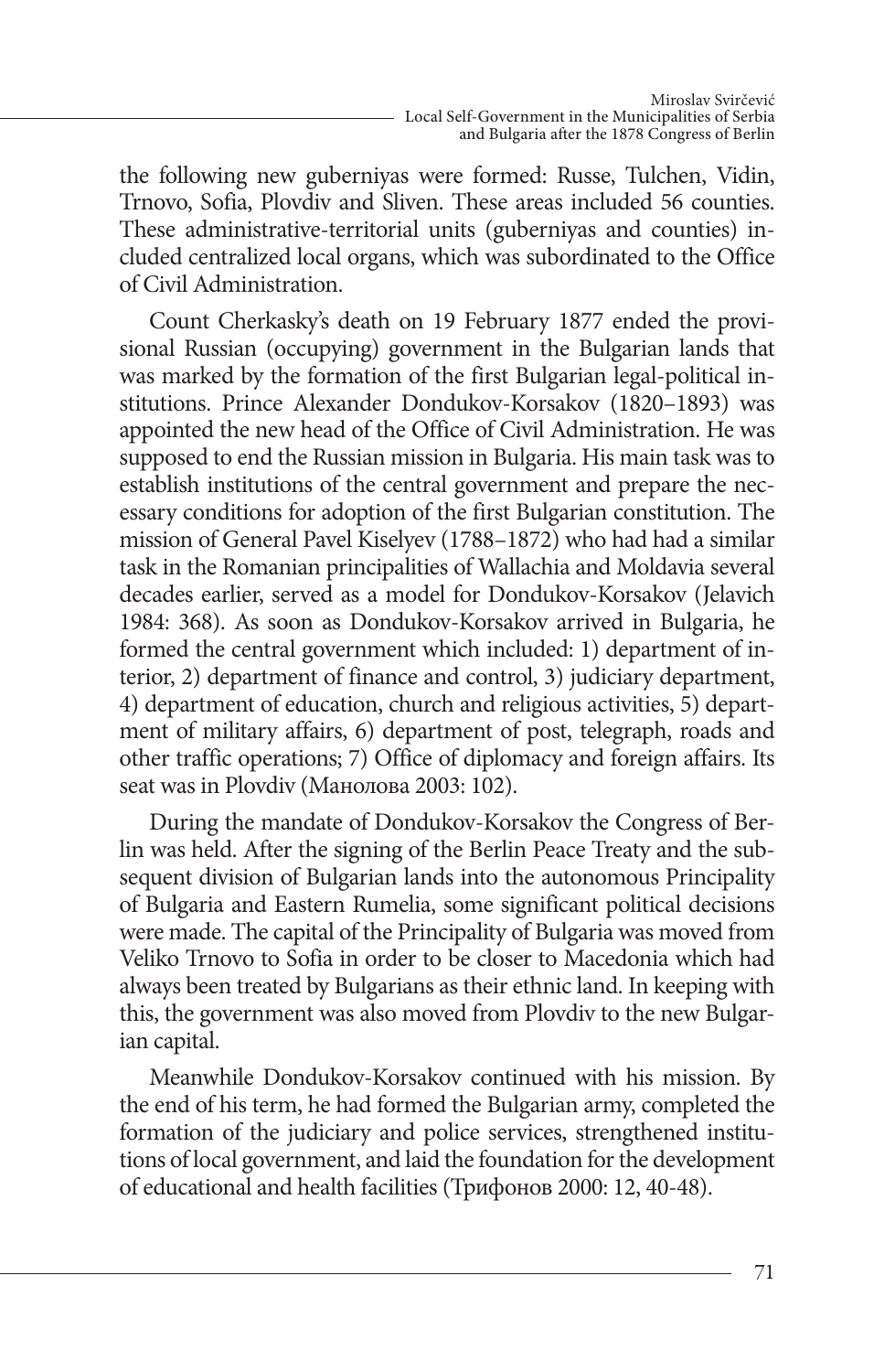the following new guberniyas were formed: Russe, Tulchen, Vidin, Trnovo, Sofia, Plovdiv and Sliven. These areas included 56 counties. These administrative-territorial units (guberniyas and counties) included centralized local organs, which was subordinated to the Office of Civil Administration.

Count Cherkasky's death on 19 February 1877 ended the provisional Russian (occupying) government in the Bulgarian lands that was marked by the formation of the first Bulgarian legal-political institutions. Prince Alexander Dondukov-Korsakov (1820–1893) was appointed the new head of the Office of Civil Administration. He was supposed to end the Russian mission in Bulgaria. His main task was to establish institutions of the central government and prepare the necessary conditions for adoption of the first Bulgarian constitution. The mission of General Pavel Kiselyev (1788–1872) who had had a similar task in the Romanian principalities of Wallachia and Moldavia several decades earlier, served as a model for Dondukov-Korsakov (Jelavich 1984: 368). As soon as Dondukov-Korsakov arrived in Bulgaria, he formed the central government which included: 1) department of interior, 2) department of finance and control, 3) judiciary department, 4) department of education, church and religious activities, 5) department of military affairs, 6) department of post, telegraph, roads and other traffic operations; 7) Office of diplomacy and foreign affairs. Its seat was in Plovdiv (Манолова 2003: 102).

During the mandate of Dondukov-Korsakov the Congress of Berlin was held. After the signing of the Berlin Peace Treaty and the subsequent division of Bulgarian lands into the autonomous Principality of Bulgaria and Eastern Rumelia, some significant political decisions were made. The capital of the Principality of Bulgaria was moved from Veliko Trnovo to Sofia in order to be closer to Macedonia which had always been treated by Bulgarians as their ethnic land. In keeping with this, the government was also moved from Plovdiv to the new Bulgarian capital.

Meanwhile Dondukov-Korsakov continued with his mission. By the end of his term, he had formed the Bulgarian army, completed the formation of the judiciary and police services, strengthened institutions of local government, and laid the foundation for the development of educational and health facilities (Трифонов 2000: 12, 40-48).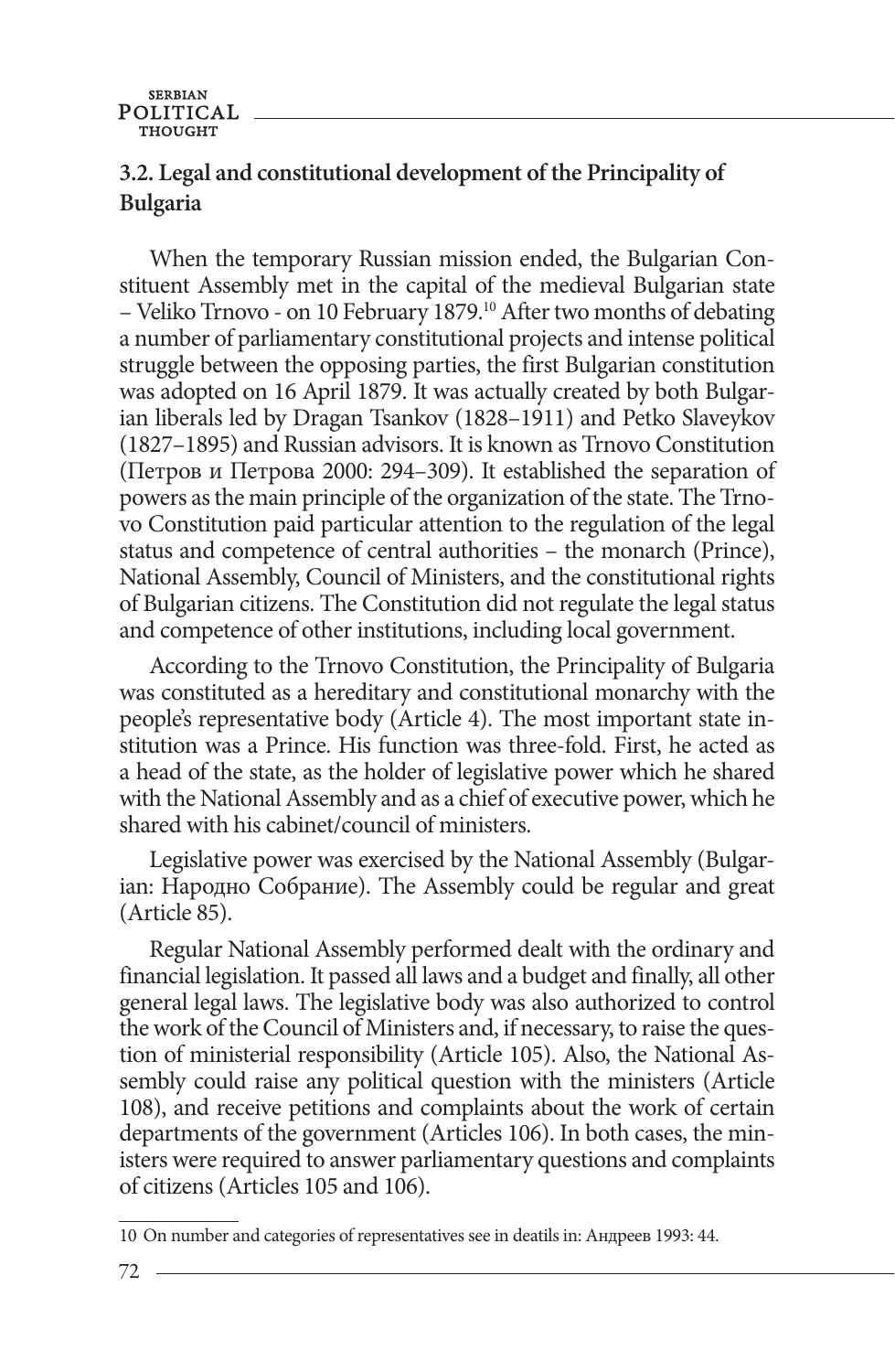### **3.2. Legal and constitutional development of the Principality of Bulgaria**

When the temporary Russian mission ended, the Bulgarian Constituent Assembly met in the capital of the medieval Bulgarian state – Veliko Trnovo - on 10 February 1879.<sup>10</sup> After two months of debating a number of parliamentary constitutional projects and intense political struggle between the opposing parties, the first Bulgarian constitution was adopted on 16 April 1879. It was actually created by both Bulgarian liberals led by Dragan Tsankov (1828–1911) and Petko Slaveykov (1827–1895) and Russian advisors. It is known as Trnovo Constitution (Петров и Петрова 2000: 294–309). It established the separation of powers as the main principle of the organization of the state. The Trnovo Constitution paid particular attention to the regulation of the legal status and competence of central authorities – the monarch (Prince), National Assembly, Council of Ministers, and the constitutional rights of Bulgarian citizens. The Constitution did not regulate the legal status and competence of other institutions, including local government.

According to the Trnovo Constitution, the Principality of Bulgaria was constituted as a hereditary and constitutional monarchy with the people's representative body (Article 4). The most important state institution was a Prince. His function was three-fold. First, he acted as a head of the state, as the holder of legislative power which he shared with the National Assembly and as a chief of executive power, which he shared with his cabinet/council of ministers.

Legislative power was exercised by the National Assembly (Bulgarian: Народно Собрание). The Assembly could be regular and great (Article 85).

Regular National Assembly performed dealt with the ordinary and financial legislation. It passed all laws and a budget and finally, all other general legal laws. The legislative body was also authorized to control the work of the Council of Ministers and, if necessary, to raise the question of ministerial responsibility (Article 105). Also, the National Assembly could raise any political question with the ministers (Article 108), and receive petitions and complaints about the work of certain departments of the government (Articles 106). In both cases, the ministers were required to answer parliamentary questions and complaints of citizens (Articles 105 and 106).

<sup>10</sup> On number and categories of representatives see in deatils in: Андрeев 1993: 44.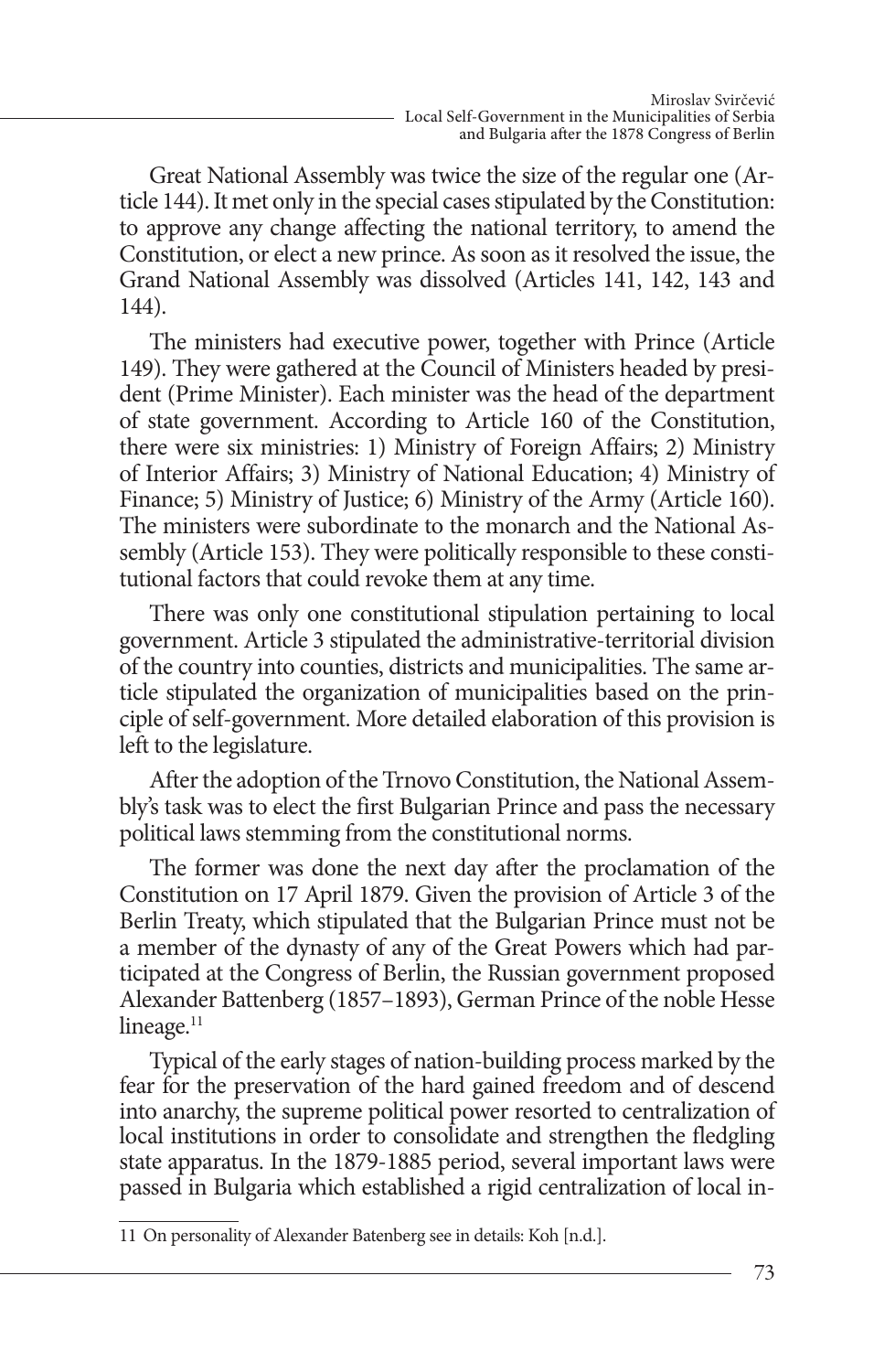Great National Assembly was twice the size of the regular one (Article 144). It met only in the special cases stipulated by the Constitution: to approve any change affecting the national territory, to amend the Constitution, or elect a new prince. As soon as it resolved the issue, the Grand National Assembly was dissolved (Articles 141, 142, 143 and 144).

The ministers had executive power, together with Prince (Article 149). They were gathered at the Council of Ministers headed by president (Prime Minister). Each minister was the head of the department of state government. According to Article 160 of the Constitution, there were six ministries: 1) Ministry of Foreign Affairs; 2) Ministry of Interior Affairs; 3) Ministry of National Education; 4) Ministry of Finance; 5) Ministry of Justice; 6) Ministry of the Army (Article 160). The ministers were subordinate to the monarch and the National Assembly (Article 153). They were politically responsible to these constitutional factors that could revoke them at any time.

There was only one constitutional stipulation pertaining to local government. Article 3 stipulated the administrative-territorial division of the country into counties, districts and municipalities. The same article stipulated the organization of municipalities based on the principle of self-government. More detailed elaboration of this provision is left to the legislature.

After the adoption of the Trnovo Constitution, the National Assembly's task was to elect the first Bulgarian Prince and pass the necessary political laws stemming from the constitutional norms.

The former was done the next day after the proclamation of the Constitution on 17 April 1879. Given the provision of Article 3 of the Berlin Treaty, which stipulated that the Bulgarian Prince must not be a member of the dynasty of any of the Great Powers which had participated at the Congress of Berlin, the Russian government proposed Alexander Battenberg (1857–1893), German Prince of the noble Hesse lineage. $11$ 

Typical of the early stages of nation-building process marked by the fear for the preservation of the hard gained freedom and of descend into anarchy, the supreme political power resorted to centralization of local institutions in order to consolidate and strengthen the fledgling state apparatus. In the 1879-1885 period, several important laws were passed in Bulgaria which established a rigid centralization of local in-

<sup>11</sup> On personality of Alexander Batenberg see in details: Koh [n.d.].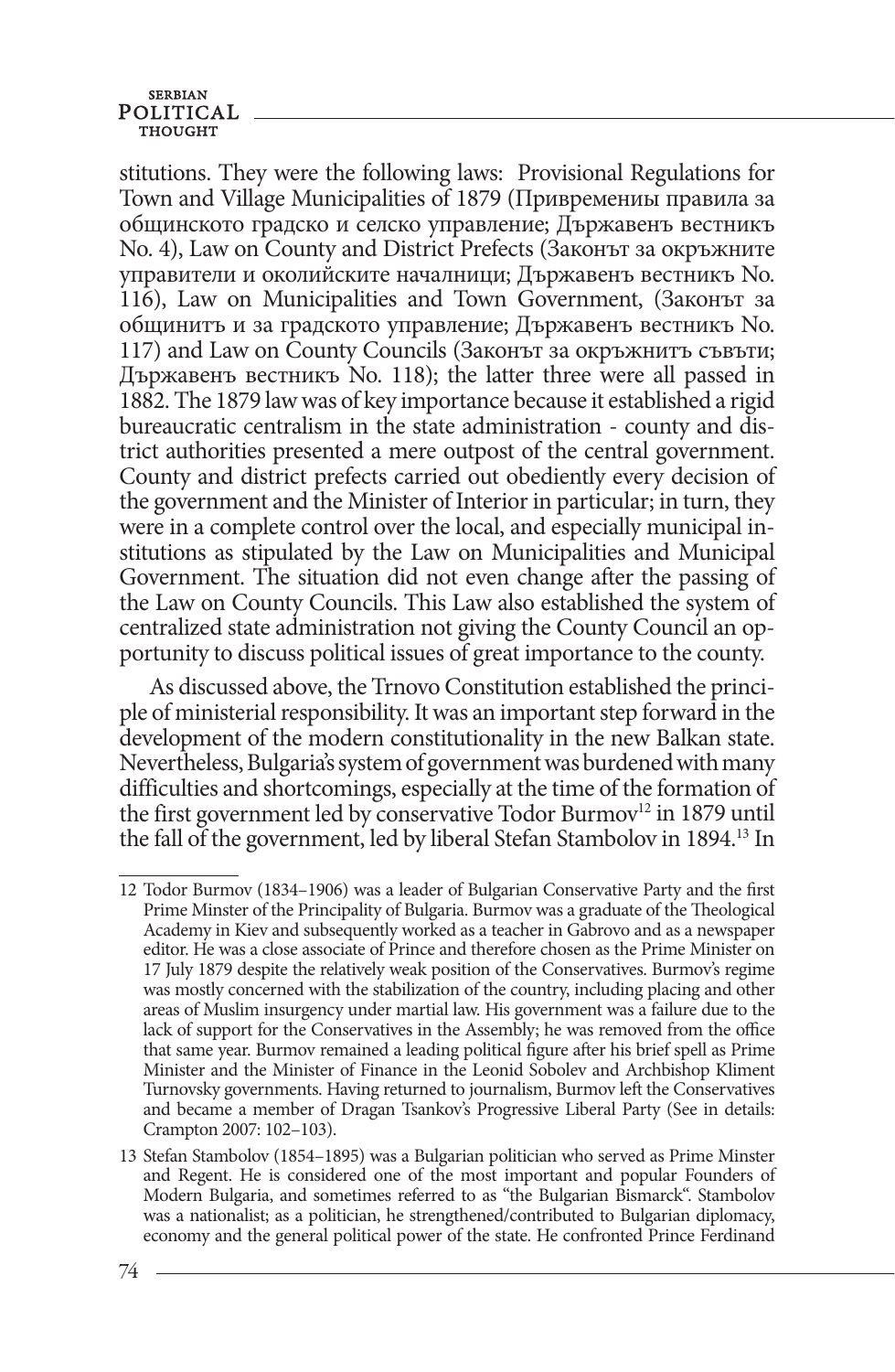stitutions. They were the following laws: Provisional Regulations for Town and Village Municipalities of 1879 (Привремениы правила за общинското градско и селско управление; Държавенъ вестникъ No. 4), Law on County and District Prefects (Законът за окръжните управители и околийските началници; Държавенъ вестникъ No. 116), Law on Municipalities and Town Government, (Законът за общинитъ и за градското управление; Държавенъ вестникъ No. 117) and Law on County Councils (Законът за окръжнитъ съвъти; Държавенъ вестникъ No. 118); the latter three were all passed in 1882. The 1879 law was of key importance because it established a rigid bureaucratic centralism in the state administration - county and district authorities presented a mere outpost of the central government. County and district prefects carried out obediently every decision of the government and the Minister of Interior in particular; in turn, they were in a complete control over the local, and especially municipal institutions as stipulated by the Law on Municipalities and Municipal Government. The situation did not even change after the passing of the Law on County Councils. This Law also established the system of centralized state administration not giving the County Council an opportunity to discuss political issues of great importance to the county.

As discussed above, the Trnovo Constitution established the principle of ministerial responsibility. It was an important step forward in the development of the modern constitutionality in the new Balkan state. Nevertheless, Bulgaria's system of government was burdened with many difficulties and shortcomings, especially at the time of the formation of the first government led by conservative Todor Burmov<sup>12</sup> in 1879 until the fall of the government, led by liberal Stefan Stambolov in 1894.13 In

<sup>12</sup> Todor Burmov (1834–1906) was a leader of Bulgarian Conservative Party and the first Prime Minster of the Principality of Bulgaria. Burmov was a graduate of the Theological Academy in Kiev and subsequently worked as a teacher in Gabrovo and as a newspaper editor. He was a close associate of Prince and therefore chosen as the Prime Minister on 17 July 1879 despite the relatively weak position of the Conservatives. Burmov's regime was mostly concerned with the stabilization of the country, including placing and other areas of Muslim insurgency under martial law. His government was a failure due to the lack of support for the Conservatives in the Assembly; he was removed from the office that same year. Burmov remained a leading political figure after his brief spell as Prime Minister and the Minister of Finance in the Leonid Sobolev and Archbishop Kliment Turnovsky governments. Having returned to journalism, Burmov left the Conservatives and became a member of Dragan Tsankov's Progressive Liberal Party (See in details: Crampton 2007: 102–103).

<sup>13</sup> Stefan Stambolov (1854–1895) was a Bulgarian politician who served as Prime Minster and Regent. He is considered one of the most important and popular Founders of Modern Bulgaria, and sometimes referred to as "the Bulgarian Bismarck". Stambolov was a nationalist; as a politician, he strengthened/contributed to Bulgarian diplomacy, economy and the general political power of the state. He confronted Prince Ferdinand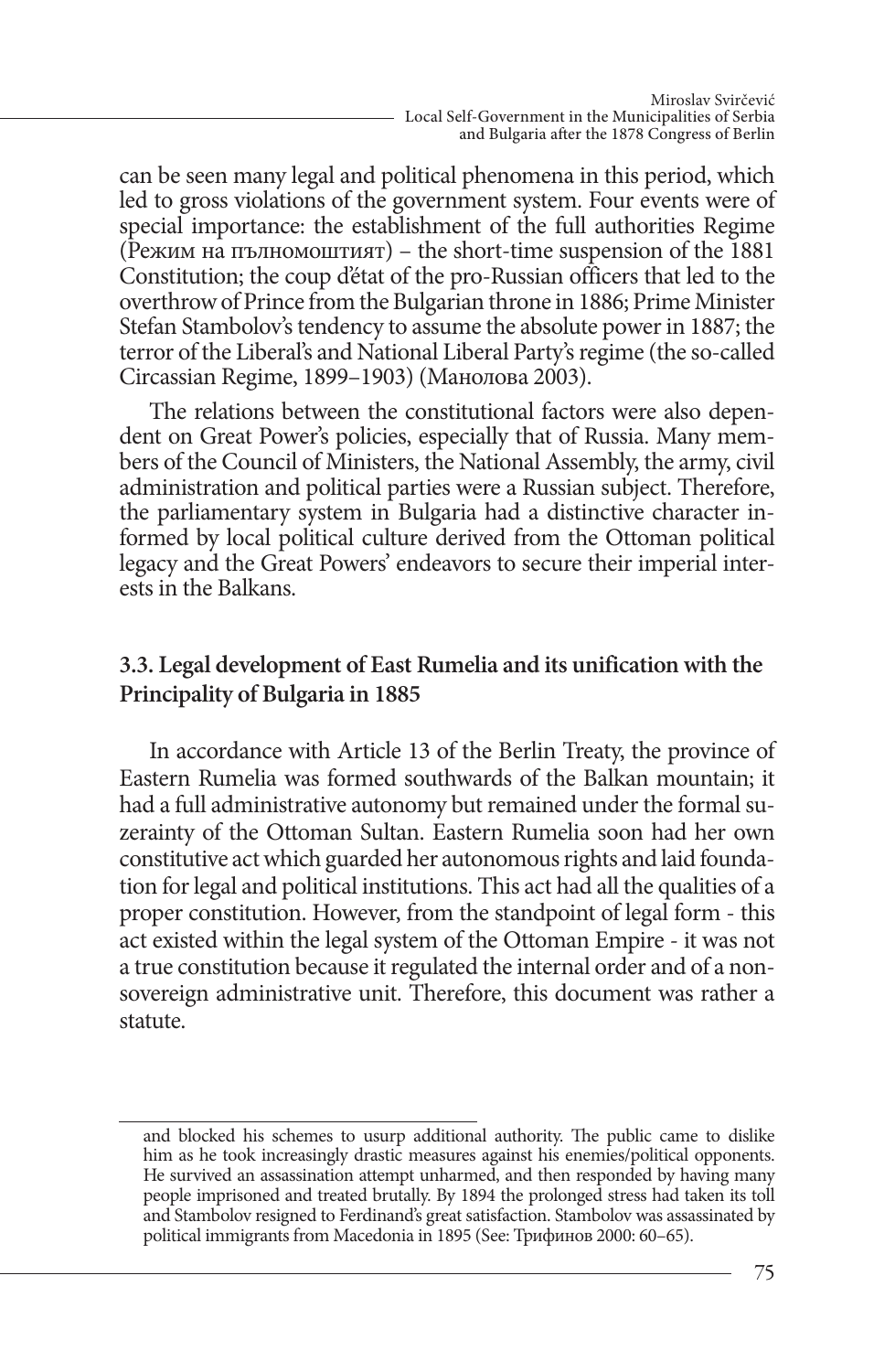can be seen many legal and political phenomena in this period, which led to gross violations of the government system. Four events were of special importance: the establishment of the full authorities Regime (Режим на пълномоштият) – the short-time suspension of the 1881 Constitution; the coup d'état of the pro-Russian officers that led to the overthrow of Prince from the Bulgarian throne in 1886; Prime Minister Stefan Stambolov's tendency to assume the absolute power in 1887; the terror of the Liberal's and National Liberal Party's regime (the so-called Circassian Regime, 1899–1903) (Манолова 2003).

The relations between the constitutional factors were also dependent on Great Power's policies, especially that of Russia. Many members of the Council of Ministers, the National Assembly, the army, civil administration and political parties were a Russian subject. Therefore, the parliamentary system in Bulgaria had a distinctive character informed by local political culture derived from the Ottoman political legacy and the Great Powers' endeavors to secure their imperial interests in the Balkans.

#### **3.3. Legal development of East Rumelia and its unification with the Principality of Bulgaria in 1885**

In accordance with Article 13 of the Berlin Treaty, the province of Eastern Rumelia was formed southwards of the Balkan mountain; it had a full administrative autonomy but remained under the formal suzerainty of the Ottoman Sultan. Eastern Rumelia soon had her own constitutive act which guarded her autonomous rights and laid foundation for legal and political institutions. This act had all the qualities of a proper constitution. However, from the standpoint of legal form - this act existed within the legal system of the Ottoman Empire - it was not a true constitution because it regulated the internal order and of a nonsovereign administrative unit. Therefore, this document was rather a statute.

and blocked his schemes to usurp additional authority. The public came to dislike him as he took increasingly drastic measures against his enemies/political opponents. He survived an assassination attempt unharmed, and then responded by having many people imprisoned and treated brutally. By 1894 the prolonged stress had taken its toll and Stambolov resigned to Ferdinand's great satisfaction. Stambolov was assassinated by political immigrants from Macedonia in 1895 (See: Трифинов 2000: 60–65).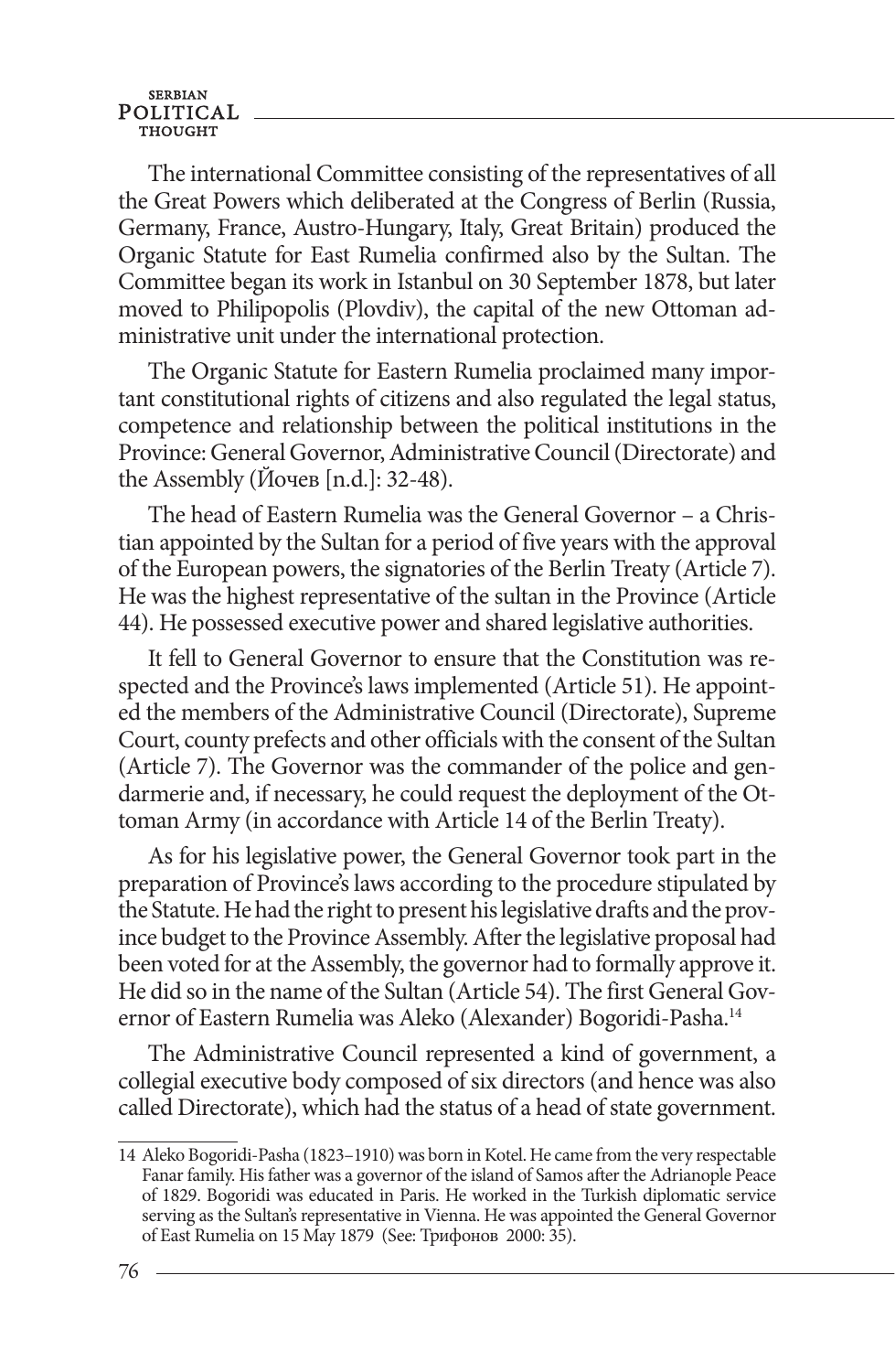The international Committee consisting of the representatives of all the Great Powers which deliberated at the Congress of Berlin (Russia, Germany, France, Austro-Hungary, Italy, Great Britain) produced the Organic Statute for East Rumelia confirmed also by the Sultan. The Committee began its work in Istanbul on 30 September 1878, but later moved to Philipopolis (Plovdiv), the capital of the new Ottoman administrative unit under the international protection.

The Organic Statute for Eastern Rumelia proclaimed many important constitutional rights of citizens and also regulated the legal status, competence and relationship between the political institutions in the Province: General Governor, Administrative Council (Directorate) and the Assembly (Йочев [n.d.]: 32-48).

The head of Eastern Rumelia was the General Governor – a Christian appointed by the Sultan for a period of five years with the approval of the European powers, the signatories of the Berlin Treaty (Article 7). He was the highest representative of the sultan in the Province (Article 44). He possessed executive power and shared legislative authorities.

It fell to General Governor to ensure that the Constitution was respected and the Province's laws implemented (Article 51). He appointed the members of the Administrative Council (Directorate), Supreme Court, county prefects and other officials with the consent of the Sultan (Article 7). The Governor was the commander of the police and gendarmerie and, if necessary, he could request the deployment of the Ottoman Army (in accordance with Article 14 of the Berlin Treaty).

As for his legislative power, the General Governor took part in the preparation of Province's laws according to the procedure stipulated by the Statute. He had the right to present his legislative drafts and the province budget to the Province Assembly. After the legislative proposal had been voted for at the Assembly, the governor had to formally approve it. He did so in the name of the Sultan (Article 54). The first General Governor of Eastern Rumelia was Aleko (Alexander) Bogoridi-Pasha.14

The Administrative Council represented a kind of government, a collegial executive body composed of six directors (and hence was also called Directorate), which had the status of a head of state government.

<sup>14</sup> Aleko Bogoridi-Pasha (1823–1910) was born in Kotel. He came from the very respectable Fanar family. His father was a governor of the island of Samos after the Adrianople Peace of 1829. Bogoridi was educated in Paris. He worked in the Turkish diplomatic service serving as the Sultan's representative in Vienna. He was appointed the General Governor of East Rumelia on 15 May 1879 (See: Трифонов 2000: 35).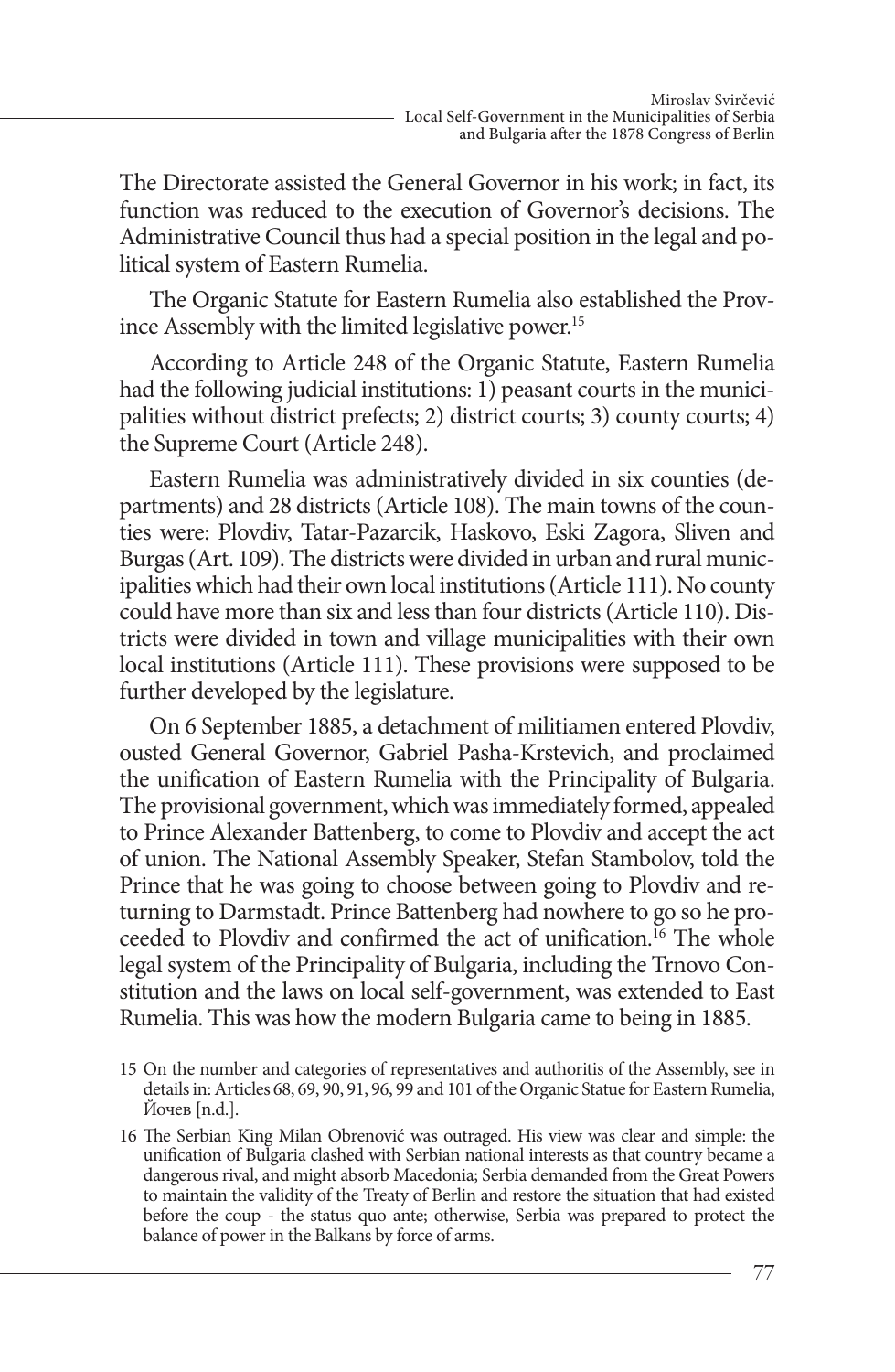The Directorate assisted the General Governor in his work; in fact, its function was reduced to the execution of Governor's decisions. The Administrative Council thus had a special position in the legal and political system of Eastern Rumelia.

The Organic Statute for Eastern Rumelia also established the Province Assembly with the limited legislative power.<sup>15</sup>

According to Article 248 of the Organic Statute, Eastern Rumelia had the following judicial institutions:  $1)$  peasant courts in the municipalities without district prefects; 2) district courts; 3) county courts; 4) the Supreme Court (Article 248).

Eastern Rumelia was administratively divided in six counties (departments) and 28 districts (Article 108). The main towns of the counties were: Plovdiv, Tatar-Pazarcik, Haskovo, Eski Zagora, Sliven and Burgas (Art. 109). The districts were divided in urban and rural municipalities which had their own local institutions (Article 111). No county could have more than six and less than four districts (Article 110). Districts were divided in town and village municipalities with their own local institutions (Article 111). These provisions were supposed to be further developed by the legislature.

On 6 September 1885, a detachment of militiamen entered Plovdiv, ousted General Governor, Gabriel Pasha-Krstevich, and proclaimed the unification of Eastern Rumelia with the Principality of Bulgaria. The provisional government, which was immediately formed, appealed to Prince Alexander Battenberg, to come to Plovdiv and accept the act of union. The National Assembly Speaker, Stefan Stambolov, told the Prince that he was going to choose between going to Plovdiv and returning to Darmstadt. Prince Battenberg had nowhere to go so he proceeded to Plovdiv and confirmed the act of unification.<sup>16</sup> The whole legal system of the Principality of Bulgaria, including the Trnovo Constitution and the laws on local self-government, was extended to East Rumelia. This was how the modern Bulgaria came to being in 1885.

<sup>15</sup> On the number and categories of representatives and authoritis of the Assembly, see in details in: Articles 68, 69, 90, 91, 96, 99 and 101 of the Organic Statue for Eastern Rumelia, Йочев [n.d.].

<sup>16</sup> The Serbian King Milan Obrenović was outraged. His view was clear and simple: the unification of Bulgaria clashed with Serbian national interests as that country became a dangerous rival, and might absorb Macedonia; Serbia demanded from the Great Powers to maintain the validity of the Treaty of Berlin and restore the situation that had existed before the coup - the status quo ante; otherwise, Serbia was prepared to protect the balance of power in the Balkans by force of arms.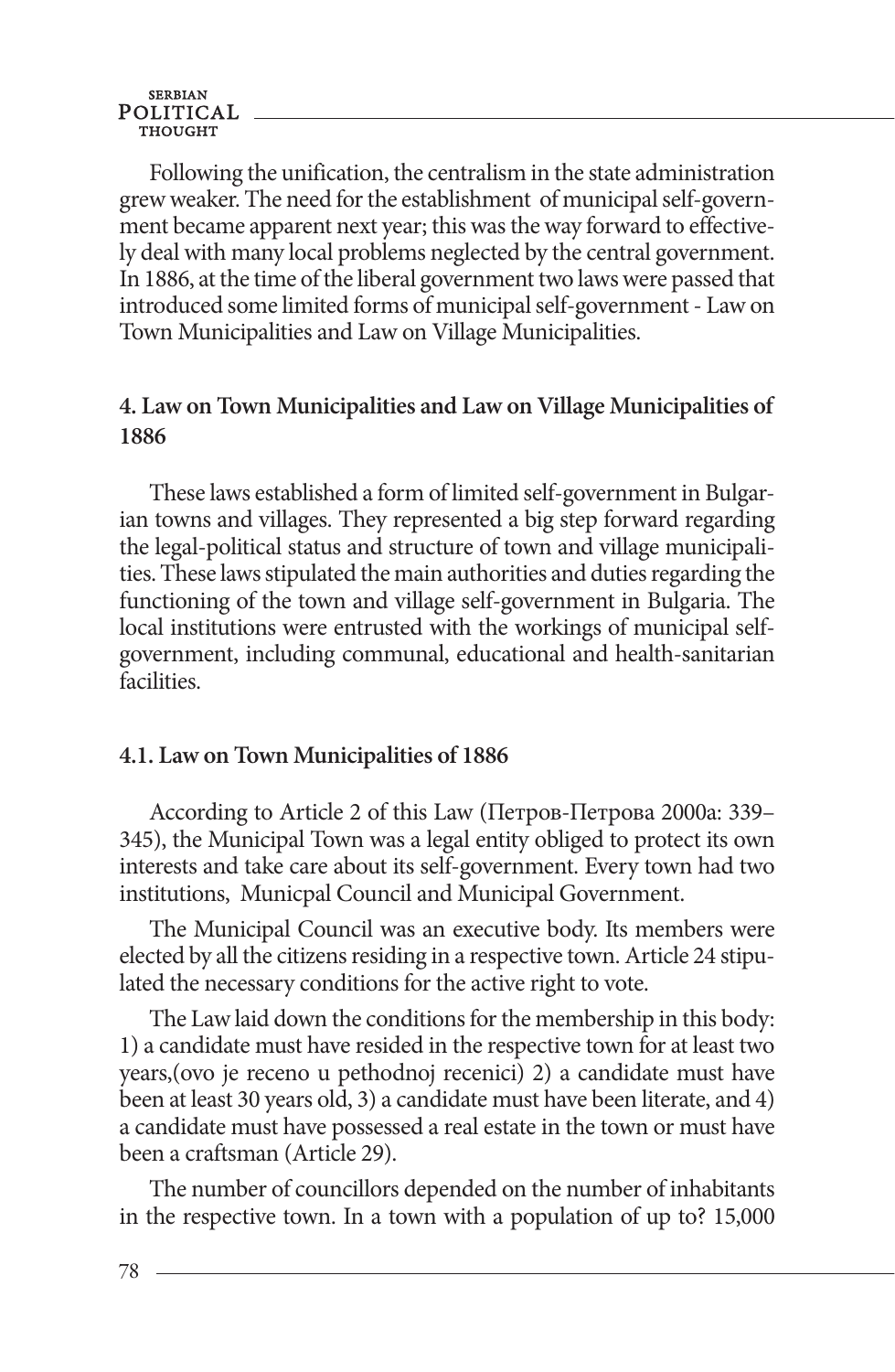**SERBIAN** POLITICAL

Following the unification, the centralism in the state administration grew weaker. The need for the establishment of municipal self-government became apparent next year; this was the way forward to effectively deal with many local problems neglected by the central government. In 1886, at the time of the liberal government two laws were passed that introduced some limited forms of municipal self-government - Law on Town Municipalities and Law on Village Municipalities.

#### **4. Law on Town Municipalities and Law on Village Municipalities of 1886**

These laws established a form of limited self-government in Bulgarian towns and villages. They represented a big step forward regarding the legal-political status and structure of town and village municipalities. These laws stipulated the main authorities and duties regarding the functioning of the town and village self-government in Bulgaria. The local institutions were entrusted with the workings of municipal selfgovernment, including communal, educational and health-sanitarian facilities.

#### **4.1. Law on Town Municipalities of 1886**

According to Article 2 of this Law (Петров-Петрова 2000а: 339– 345), the Municipal Town was a legal entity obliged to protect its own interests and take care about its self-government. Every town had two institutions, Municpal Council and Municipal Government.

The Municipal Council was an executive body. Its members were elected by all the citizens residing in a respective town. Article 24 stipulated the necessary conditions for the active right to vote.

The Law laid down the conditions for the membership in this body: 1) a candidate must have resided in the respective town for at least two years,(ovo je receno u pethodnoj recenici) 2) a candidate must have been at least 30 years old, 3) a candidate must have been literate, and 4) a candidate must have possessed a real estate in the town or must have been a craftsman (Article 29).

The number of councillors depended on the number of inhabitants in the respective town. In a town with a population of up to? 15,000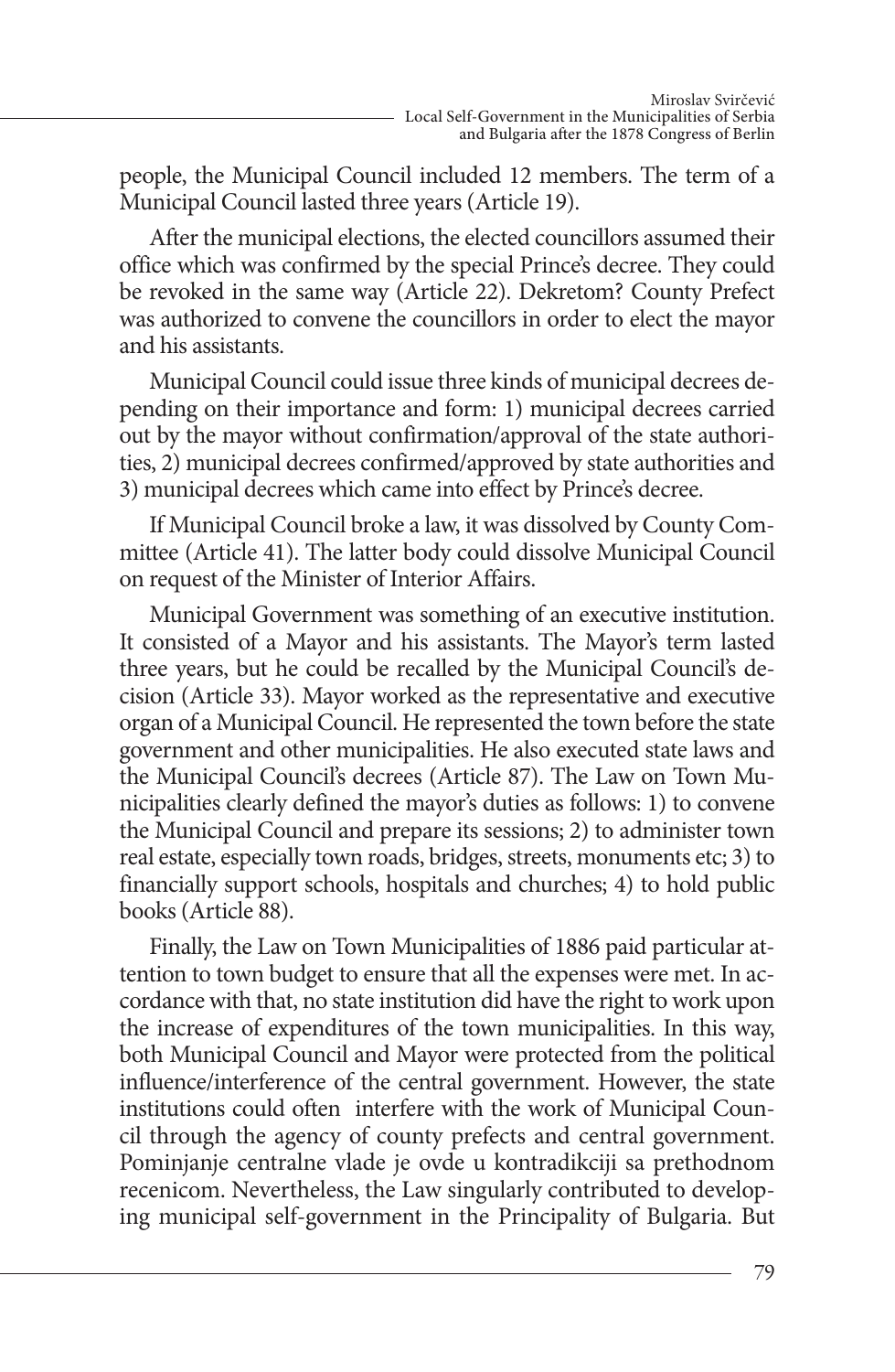people, the Municipal Council included 12 members. The term of a Municipal Council lasted three years (Article 19).

After the municipal elections, the elected councillors assumed their office which was confirmed by the special Prince's decree. They could be revoked in the same way (Article 22). Dekretom? County Prefect was authorized to convene the councillors in order to elect the mayor and his assistants.

Municipal Council could issue three kinds of municipal decrees depending on their importance and form: 1) municipal decrees carried out by the mayor without confirmation/approval of the state authorities, 2) municipal decrees confirmed/approved by state authorities and 3) municipal decrees which came into effect by Prince's decree.

If Municipal Council broke a law, it was dissolved by County Committee (Article 41). The latter body could dissolve Municipal Council on request of the Minister of Interior Affairs.

Municipal Government was something of an executive institution. It consisted of a Mayor and his assistants. The Mayor's term lasted three years, but he could be recalled by the Municipal Council's decision (Article 33). Mayor worked as the representative and executive organ of a Municipal Council. He represented the town before the state government and other municipalities. He also executed state laws and the Municipal Council's decrees (Article 87). The Law on Town Municipalities clearly defined the mayor's duties as follows: 1) to convene the Municipal Council and prepare its sessions; 2) to administer town real estate, especially town roads, bridges, streets, monuments etc; 3) to financially support schools, hospitals and churches; 4) to hold public books (Article 88).

Finally, the Law on Town Municipalities of 1886 paid particular attention to town budget to ensure that all the expenses were met. In accordance with that, no state institution did have the right to work upon the increase of expenditures of the town municipalities. In this way, both Municipal Council and Mayor were protected from the political influence/interference of the central government. However, the state institutions could often interfere with the work of Municipal Council through the agency of county prefects and central government. Pominjanje centralne vlade je ovde u kontradikciji sa prethodnom recenicom. Nevertheless, the Law singularly contributed to developing municipal self-government in the Principality of Bulgaria. But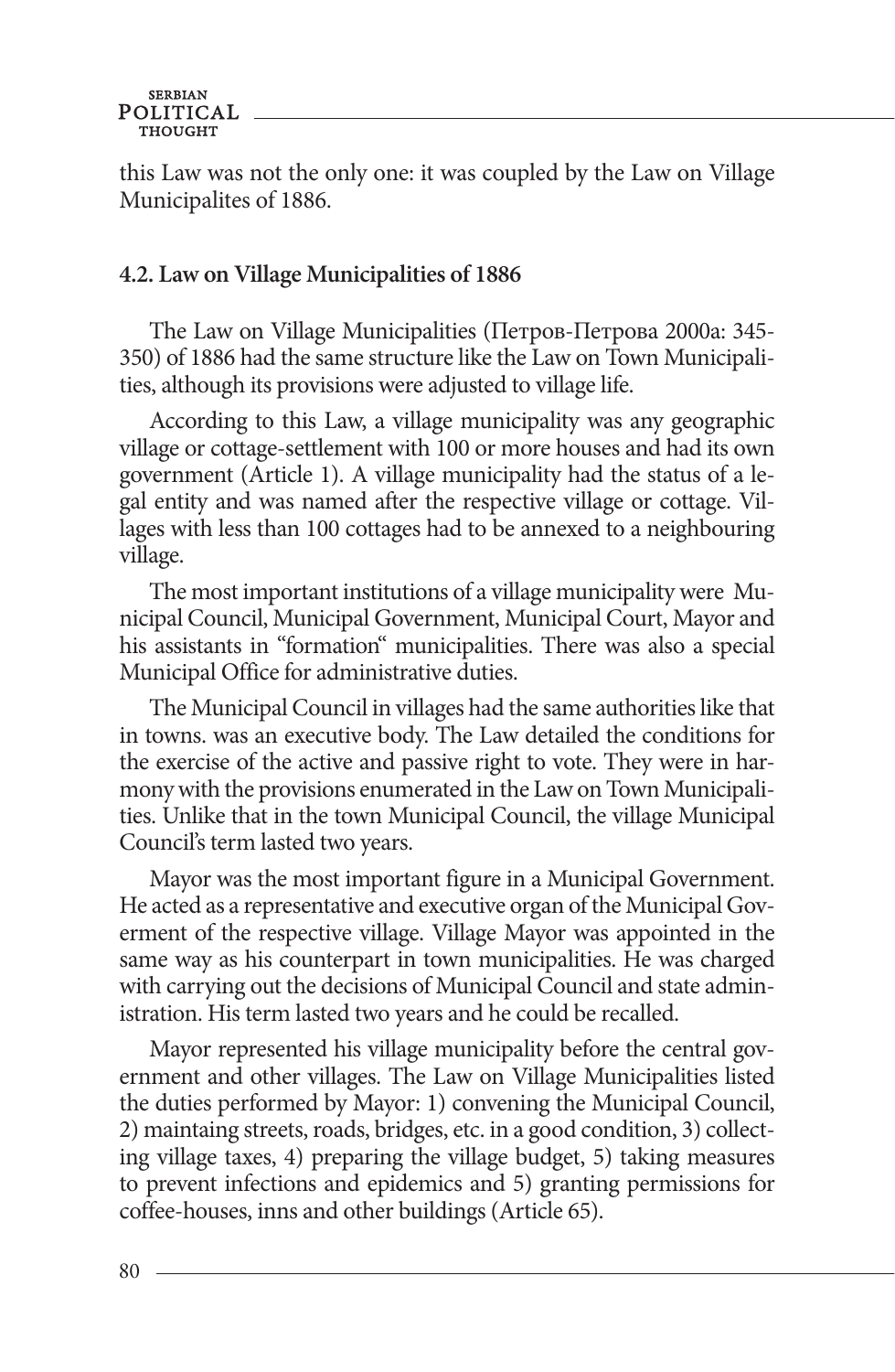this Law was not the only one: it was coupled by the Law on Village Municipalites of 1886.

#### **4.2. Law on Village Municipalities of 1886**

The Law on Village Municipalities (Петров-Петрова 2000а: 345- 350) of 1886 had the same structure like the Law on Town Municipalities, although its provisions were adjusted to village life.

According to this Law, a village municipality was any geographic village or cottage-settlement with 100 or more houses and had its own government (Article 1). A village municipality had the status of a legal entity and was named after the respective village or cottage. Villages with less than 100 cottages had to be annexed to a neighbouring village.

The most important institutions of a village municipality were Municipal Council, Municipal Government, Municipal Court, Mayor and his assistants in "formation" municipalities. There was also a special Municipal Office for administrative duties.

The Municipal Council in villages had the same authorities like that in towns. was an executive body. The Law detailed the conditions for the exercise of the active and passive right to vote. They were in harmony with the provisions enumerated in the Law on Town Municipalities. Unlike that in the town Municipal Council, the village Municipal Council's term lasted two years.

Mayor was the most important figure in a Municipal Government. He acted as a representative and executive organ of the Municipal Goverment of the respective village. Village Mayor was appointed in the same way as his counterpart in town municipalities. He was charged with carrying out the decisions of Municipal Council and state administration. His term lasted two years and he could be recalled.

Mayor represented his village municipality before the central government and other villages. The Law on Village Municipalities listed the duties performed by Mayor: 1) convening the Municipal Council, 2) maintaing streets, roads, bridges, etc. in a good condition, 3) collecting village taxes, 4) preparing the village budget, 5) taking measures to prevent infections and epidemics and 5) granting permissions for coffee-houses, inns and other buildings (Article 65).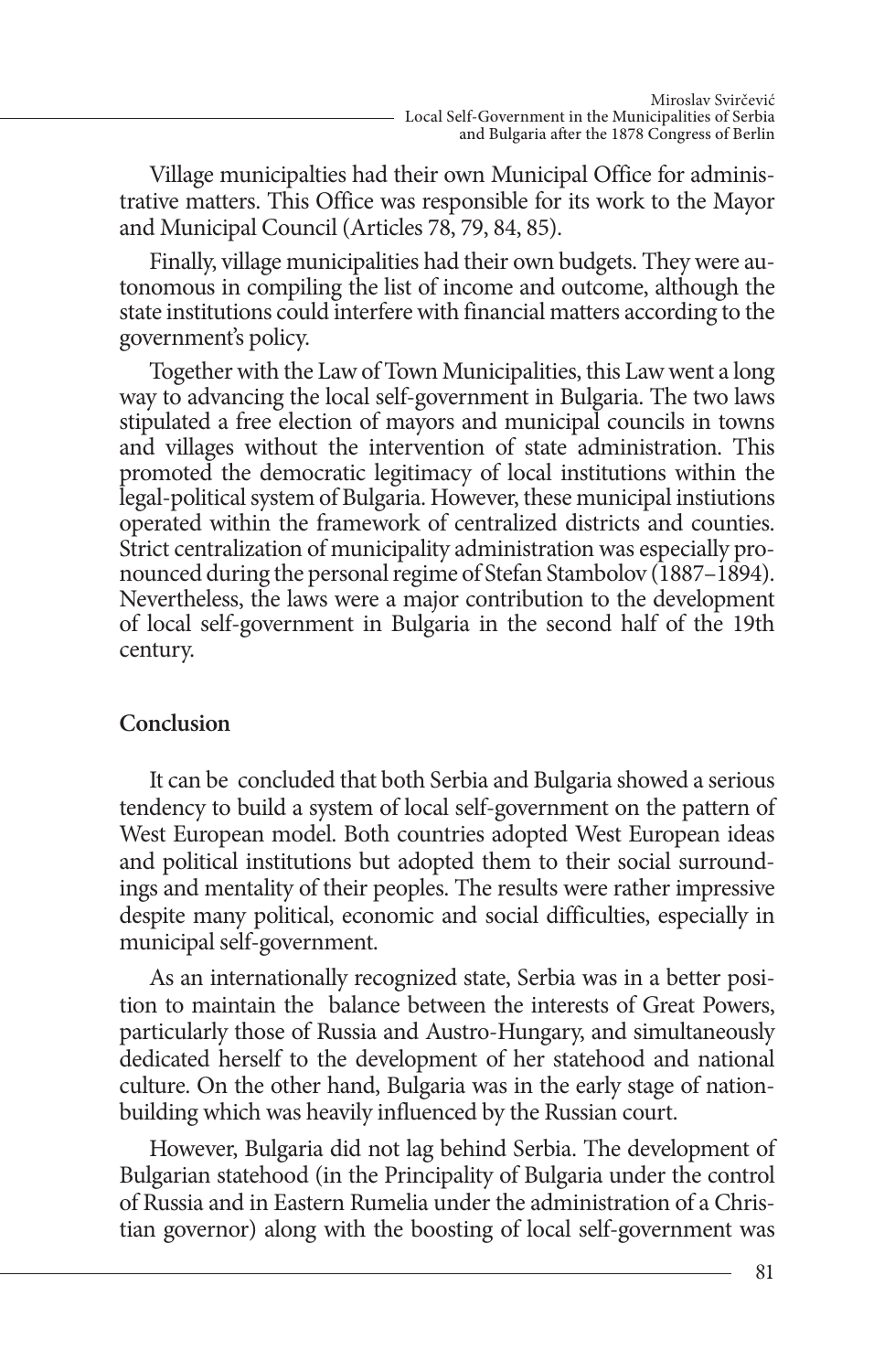Village municipalties had their own Municipal Office for administrative matters. This Office was responsible for its work to the Mayor and Municipal Council (Articles 78, 79, 84, 85).

Finally, village municipalities had their own budgets. They were autonomous in compiling the list of income and outcome, although the state institutions could interfere with financial matters according to the government's policy.

Together with the Law of Town Municipalities, this Law went a long way to advancing the local self-government in Bulgaria. The two laws stipulated a free election of mayors and municipal councils in towns and villages without the intervention of state administration. This promoted the democratic legitimacy of local institutions within the legal-political system of Bulgaria. However, these municipal instiutions operated within the framework of centralized districts and counties. Strict centralization of municipality administration was especially pronounced during the personal regime of Stefan Stambolov (1887–1894). Nevertheless, the laws were a major contribution to the development of local self-government in Bulgaria in the second half of the 19th century.

#### **Conclusion**

It can be concluded that both Serbia and Bulgaria showed a serious tendency to build a system of local self-government on the pattern of West European model. Both countries adopted West European ideas and political institutions but adopted them to their social surroundings and mentality of their peoples. The results were rather impressive despite many political, economic and social difficulties, especially in municipal self-government.

As an internationally recognized state, Serbia was in a better position to maintain the balance between the interests of Great Powers, particularly those of Russia and Austro-Hungary, and simultaneously dedicated herself to the development of her statehood and national culture. On the other hand, Bulgaria was in the early stage of nationbuilding which was heavily influenced by the Russian court.

However, Bulgaria did not lag behind Serbia. The development of Bulgarian statehood (in the Principality of Bulgaria under the control of Russia and in Eastern Rumelia under the administration of a Christian governor) along with the boosting of local self-government was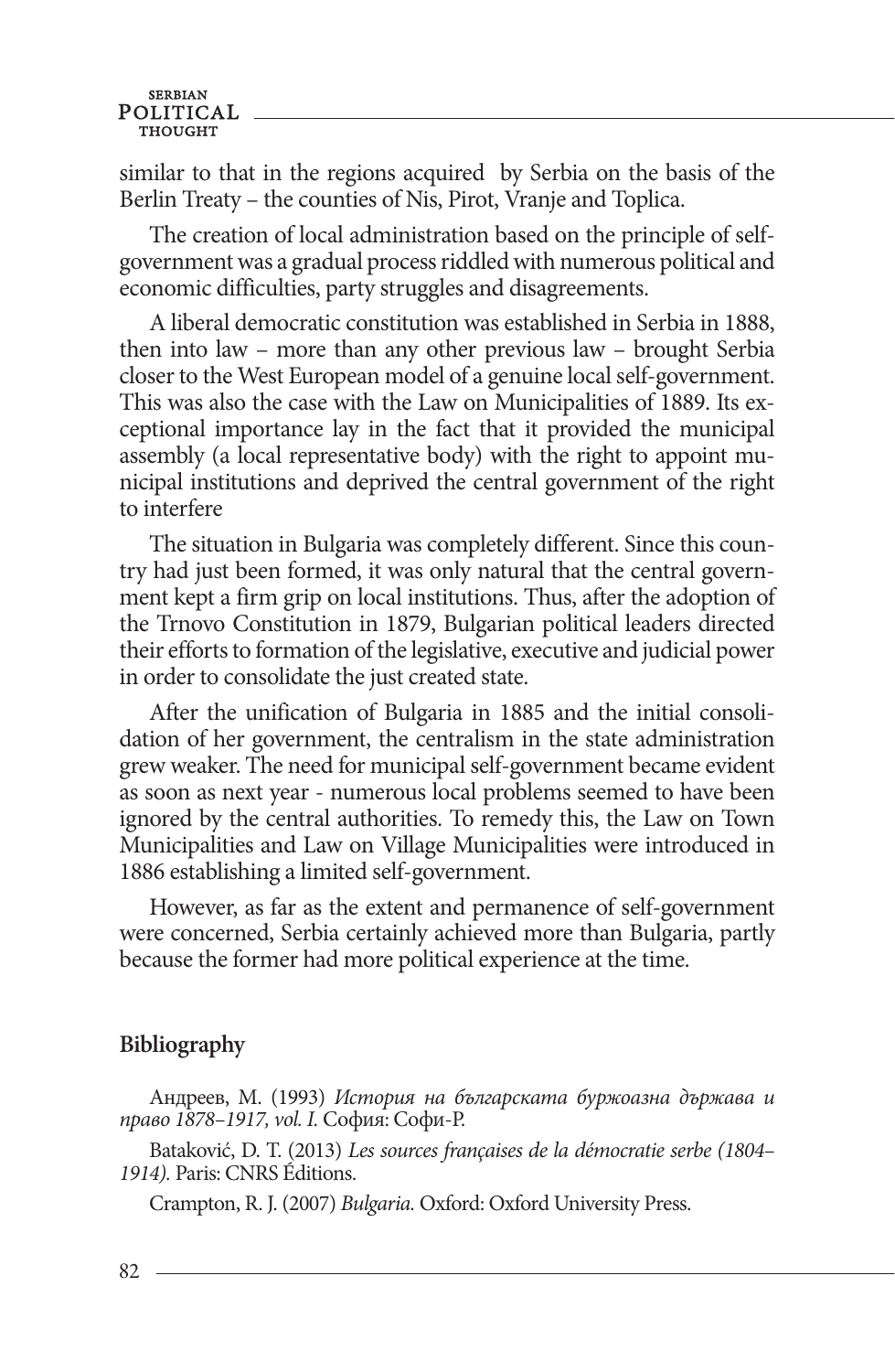similar to that in the regions acquired by Serbia on the basis of the Berlin Treaty – the counties of Nis, Pirot, Vranje and Toplica.

The creation of local administration based on the principle of selfgovernment was a gradual process riddled with numerous political and economic difficulties, party struggles and disagreements.

A liberal democratic constitution was established in Serbia in 1888, then into law – more than any other previous law – brought Serbia closer to the West European model of a genuine local self-government. This was also the case with the Law on Municipalities of 1889. Its exceptional importance lay in the fact that it provided the municipal assembly (a local representative body) with the right to appoint municipal institutions and deprived the central government of the right to interfere

The situation in Bulgaria was completely different. Since this country had just been formed, it was only natural that the central government kept a firm grip on local institutions. Thus, after the adoption of the Trnovo Constitution in 1879, Bulgarian political leaders directed their efforts to formation of the legislative, executive and judicial power in order to consolidate the just created state.

After the unification of Bulgaria in 1885 and the initial consolidation of her government, the centralism in the state administration grew weaker. The need for municipal self-government became evident as soon as next year - numerous local problems seemed to have been ignored by the central authorities. To remedy this, the Law on Town Municipalities and Law on Village Municipalities were introduced in 1886 establishing a limited self-government.

However, as far as the extent and permanence of self-government were concerned, Serbia certainly achieved more than Bulgaria, partly because the former had more political experience at the time.

# **Bibliography**

Андрeев, М. (1993) *История на българската буржоазна държава и право 1878–1917, vol. I.* София: Софи-Р.

Bataković, D. T. (2013) *Les sources françaises de la démocratie serbe (1804– 1914).* Paris: CNRS Éditions.

Crampton, R. J. (2007) *Bulgaria.* Oxford: Oxford University Press.

82.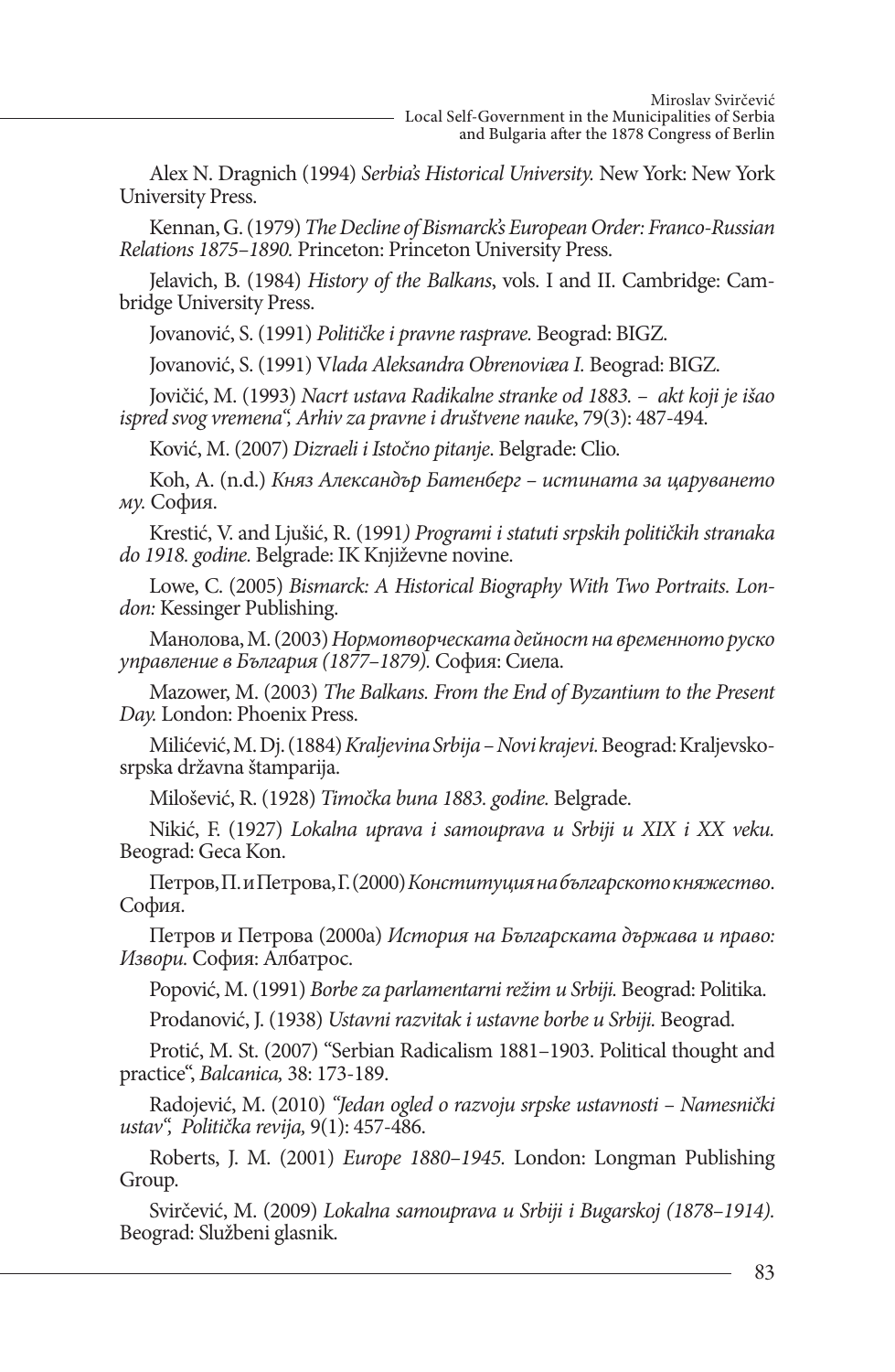Alex N. Dragnich (1994) *Serbia's Historical University.* New York: New York University Press.

Kennan, G. (1979) *The Decline of Bismarck's European Order: Franco-Russian Relations 1875–1890.* Princeton: Princeton University Press.

Jelavich, B. (1984) *History of the Balkans*, vols. I and II. Cambridge: Cambridge University Press.

Jovanović, S. (1991) *Političke i pravne rasprave.* Beograd: BIGZ.

Jovanović, S. (1991) V*lada Aleksandra Obrenoviæa I.* Beograd: BIGZ.

Jovičić, M. (1993) *Nacrt ustava Radikalne stranke od 1883. – akt koji je išao ispred svog vremena", Arhiv za pravne i društvene nauke*, 79(3): 487-494.

Ković, M. (2007) *Dizraeli i Istočno pitanje*. Belgrade: Clio.

Koh, A. (n.d.) *Княз Александър Батенберг – истината за царуването му.* София.

Krestić, V. and Ljušić, R. (1991*) Programi i statuti srpskih političkih stranaka do 1918. godine.* Belgrade: IK Književne novine.

Lowe, C. (2005) *Bismarck: A Historical Biography With Two Portraits. Lon- don:* Kessinger Publishing.

Манолова, M. (2003) *Нормотворческата дейност на временното руско управление в България (1877–1879).* София: Сиела.

Mazower, M. (2003) *The Balkans. From the End of Byzantium to the Present Day.* London: Phoenix Press.

Milićević, M. Dj. (1884) *Kraljevina Srbija – Novi krajevi.* Beograd: Kraljevskosrpska državna štamparija.

Milošević, R. (1928) *Timočka buna 1883. godine.* Belgrade.

Nikić, F. (1927) *Lokalna uprava i samouprava u Srbiji u XIX i XX veku.*  Beograd: Geca Kon.

Петров, П. и Петрова, Г. (2000) *Конституция на българското княжествo*. София.

Петров и Петрова (2000а) *История на Българската държава и право: Извори.* София: Албатрос.

Popović, M. (1991) *Borbe za parlamentarni režim u Srbiji.* Beograd: Politika.

Prodanović, J. (1938) *Ustavni razvitak i ustavne borbe u Srbiji.* Beograd.

Protić, M. St. (2007) "Serbian Radicalism 1881–1903. Political thought and practice", *Balcanica,* 38: 173-189.

Radojević, M. (2010) *"Jedan ogled o razvoju srpske ustavnosti – Namesnički ustav", Politička revija,* 9(1): 457-486.

Roberts, J. M. (2001) *Europe 1880–1945.* London: Longman Publishing Group.

Svirčević, M. (2009) *Lokalna samouprava u Srbiji i Bugarskoj (1878–1914).*  Beograd: Službeni glasnik.